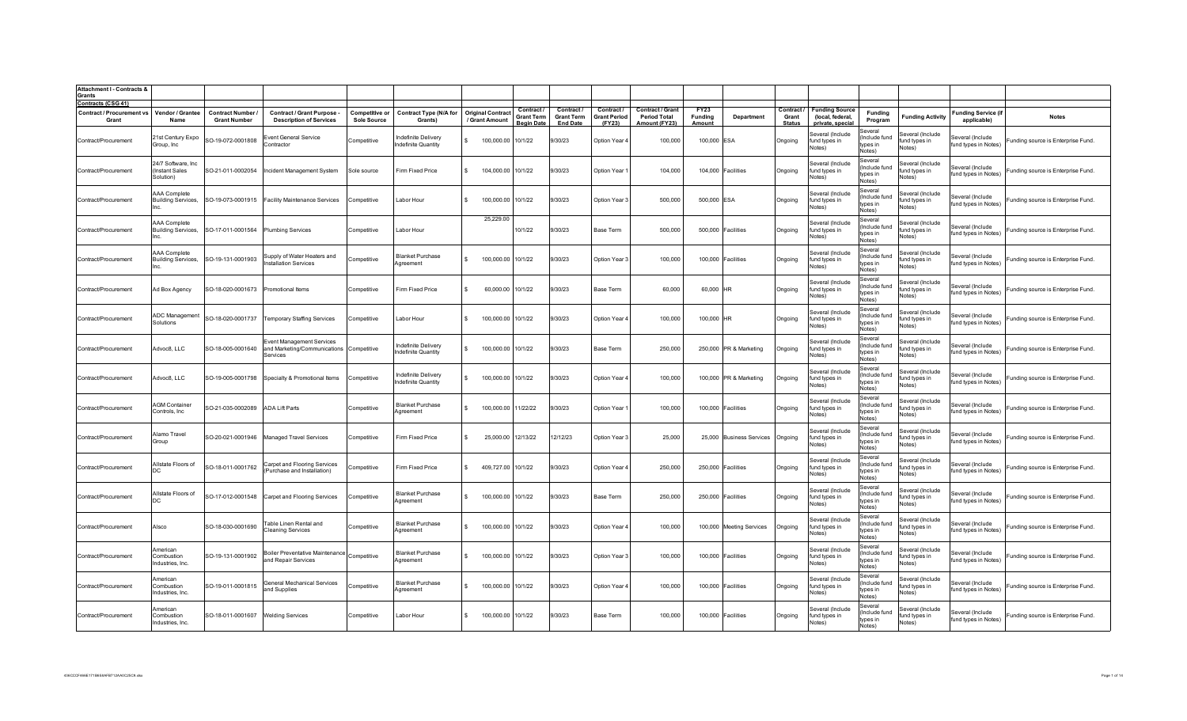| <b>Attachment I - Contracts &amp;</b><br><b>Grants</b>                 |                                                          |                                               |                                                                                   |                                             |                                            |                                                 |                                                           |                                                  |                                             |                                                                 |                           |                          |                                      |                                                               |                                                |                                             |                                           |                                    |
|------------------------------------------------------------------------|----------------------------------------------------------|-----------------------------------------------|-----------------------------------------------------------------------------------|---------------------------------------------|--------------------------------------------|-------------------------------------------------|-----------------------------------------------------------|--------------------------------------------------|---------------------------------------------|-----------------------------------------------------------------|---------------------------|--------------------------|--------------------------------------|---------------------------------------------------------------|------------------------------------------------|---------------------------------------------|-------------------------------------------|------------------------------------|
| <b>Contracts (CSG 41)</b><br><b>Contract / Procurement vs</b><br>Grant | Vendor / Grantee<br>Name                                 | <b>Contract Number</b><br><b>Grant Number</b> | <b>Contract / Grant Purpose -</b><br><b>Description of Services</b>               | <b>Competitive or</b><br><b>Sole Source</b> | <b>Contract Type (N/A for</b><br>Grants)   | <b>Original Contract</b><br><b>Grant Amount</b> | <b>Contract</b><br><b>Grant Term</b><br><b>Beain Date</b> | Contract<br><b>Grant Term</b><br><b>End Date</b> | Contract /<br><b>Grant Period</b><br>(FY23) | <b>Contract / Grant</b><br><b>Period Total</b><br>Amount (FY23) | FY23<br>Funding<br>Amount | Department               | Contract /<br>Grant<br><b>Status</b> | <b>Funding Source</b><br>(local, federal,<br>private, special | Funding<br>Program                             | <b>Funding Activity</b>                     | <b>Funding Service (if</b><br>applicable) | <b>Notes</b>                       |
| Contract/Procurement                                                   | 21st Century Expo<br>Group, Inc.                         | SO-19-072-0001808                             | <b>Event General Service</b><br>Contractor                                        | Competitive                                 | Indefinite Delivery<br>ndefinite Quantity  | 100,000.00 10/1/22<br>$\mathbf{S}$              |                                                           | 9/30/23                                          | Option Year 4                               | 100,000                                                         | 100,000 ESA               |                          | Ongoing                              | Several (Include<br>fund types in<br>Notes)                   | Several<br>(Include fund<br>tvpes in<br>Notes) | Several (Include<br>fund types in<br>Notes) | Several (Include<br>fund types in Notes)  | Funding source is Enterprise Fund. |
| Contract/Procurement                                                   | 24/7 Software, Inc<br>(Instant Sales<br>Solution)        | SO-21-011-0002054                             | Incident Management System                                                        | Sole source                                 | Firm Fixed Price                           | 104,000.00 10/1/22<br>\$.                       |                                                           | 9/30/23                                          | Option Year '                               | 104,000                                                         |                           | 104,000 Facilities       | Ongoing                              | Several (Include<br>fund types in<br>Votes)                   | Several<br>(Include fund<br>tvnes in<br>Notes) | Several (Include<br>fund types in<br>Notes) | Several (Include<br>fund types in Notes)  | Funding source is Enterprise Fund. |
| Contract/Procurement                                                   | <b>AAA Complete</b><br><b>Building Services,</b><br>Inc. |                                               | SO-19-073-0001915 Facility Maintenance Services                                   | Competitive                                 | Labor Hour                                 | 100,000.00 10/1/22                              |                                                           | 9/30/23                                          | Option Year 3                               | 500,000                                                         | 500,000 ESA               |                          | Ongoing                              | Several (Include<br>fund types in<br>Notes)                   | Several<br>(Include fund<br>tvpes in<br>Notes) | Several (Include<br>fund types in<br>Notes) | Several (Include<br>fund types in Notes)  | Funding source is Enterprise Fund. |
| Contract/Procurement                                                   | <b>AAA Complete</b><br><b>Building Services,</b><br>Inc. | SO-17-011-0001564                             | <b>Plumbing Services</b>                                                          | Competitive                                 | Labor Hour                                 | 25,229.00                                       | 10/1/22                                                   | 9/30/23                                          | Base Term                                   | 500,000                                                         |                           | 500,000 Facilities       | Ongoing                              | Several (Include<br>fund types in<br>Notes)                   | Several<br>(Include fund<br>types in<br>Notes) | Several (Include<br>fund types in<br>Notes) | Several (Include<br>fund types in Notes)  | Funding source is Enterprise Fund. |
| Contract/Procurement                                                   | AAA Complete<br><b>Building Services,</b><br>Inc.        | SO-19-131-0001903                             | Supply of Water Heaters and<br>nstallation Services                               | Competitive                                 | <b>Blanket Purchase</b><br>Agreement       | 100,000.00 10/1/22                              |                                                           | 9/30/23                                          | Option Year 3                               | 100,000                                                         |                           | 100,000 Facilities       | Ongoing                              | Several (Include<br>fund types in<br>Notes)                   | Several<br>(Include fund<br>tvpes in<br>Notes) | Several (Include<br>fund types in<br>Notes) | Several (Include<br>fund types in Notes)  | Funding source is Enterprise Fund. |
| Contract/Procurement                                                   | Ad Box Agency                                            | SO-18-020-0001673                             | Promotional Items                                                                 | Competitive                                 | Firm Fixed Price                           | 60,000.00                                       | 10/1/22                                                   | 9/30/23                                          | Base Term                                   | 60,000                                                          | 60,000 HR                 |                          | Ongoing                              | Several (Include<br>fund types in<br>Notes)                   | Several<br>(Include fund<br>tvpes in<br>Notes) | Several (Include<br>fund types in<br>Notes) | Several (Include<br>fund types in Notes)  | Funding source is Enterprise Fund. |
| Contract/Procurement                                                   | ADC Management<br>Solutions                              |                                               | SO-18-020-0001737 Temporary Staffing Services                                     | Competitive                                 | Labor Hour                                 | 100,000.00                                      | 10/1/22                                                   | 9/30/23                                          | Option Year 4                               | 100,000                                                         | 100,000 HR                |                          | Ongoing                              | Several (Include<br>fund types in<br>Notes)                   | Several<br>Include fund<br>tvpes in<br>Notes)  | Several (Include<br>fund types in<br>Notes) | everal (Include<br>fund types in Notes)   | Funding source is Enterprise Fund. |
| Contract/Procurement                                                   | Advoc8, LLC                                              | SO-18-005-0001640                             | Event Management Services<br>and Marketing/Communications Competitive<br>Services |                                             | Indefinite Delivery<br>Indefinite Quantity | 100,000.00 10/1/22<br>$\mathbf{S}$              |                                                           | 9/30/23                                          | Base Term                                   | 250,000                                                         |                           | 250,000 PR & Marketing   | Ongoing                              | Several (Include<br>fund types in<br>Notes)                   | Several<br>Include fund<br>tvpes in<br>Notes)  | Several (Include<br>fund types in<br>Notes) | everal (Include<br>fund types in Notes)   | Funding source is Enterprise Fund. |
| Contract/Procurement                                                   | Advoc8, LLC                                              | SO-19-005-0001798                             | Specialty & Promotional Items                                                     | Competitive                                 | Indefinite Delivery<br>ndefinite Quantity  | 100,000.00 10/1/22                              |                                                           | 9/30/23                                          | Option Year                                 | 100,000                                                         |                           | 100,000 PR & Marketing   | Ongoing                              | Several (Include<br>und types in<br>Notes)                    | Several<br>Include fund<br>types in<br>Notes)  | Several (Include<br>fund types in<br>Notes) | everal (Include<br>fund types in Notes)   | unding source is Enterprise Fund.  |
| Contract/Procurement                                                   | <b>AGM Container</b><br>Controls, Inc.                   | SO-21-035-0002089                             | <b>ADA Lift Parts</b>                                                             | Competitive                                 | <b>Blanket Purchase</b><br>Agreement       | 100,000.00 11/22/22                             |                                                           | 9/30/23                                          | Option Year                                 | 100,000                                                         |                           | 100,000 Facilities       | Ongoing                              | Several (Include<br>fund types in<br>Notes)                   | Several<br>Include fund<br>types in<br>Notes)  | Several (Include<br>fund types in<br>Notes) | Several (Include<br>fund types in Notes)  | Funding source is Enterprise Fund. |
| Contract/Procurement                                                   | Alamo Travel<br>Group                                    |                                               | SO-20-021-0001946 Managed Travel Services                                         | Competitive                                 | Firm Fixed Price                           | 25,000.00 12/13/22                              |                                                           | 12/12/23                                         | Option Year 3                               | 25,000                                                          |                           | 25,000 Business Services | Ongoing                              | Several (Include<br>fund types in<br>Notes)                   | Several<br>Include fund<br>tvnes in<br>Notes)  | Several (Include<br>fund types in<br>Notes) | everal (Include<br>fund types in Notes)   | Funding source is Enterprise Fund. |
| Contract/Procurement                                                   | Allstate Floors of<br>DC.                                | SO-18-011-0001762                             | Carpet and Flooring Services<br>(Purchase and Installation)                       | Competitive                                 | Firm Fixed Price                           | 409,727.00 10/1/22                              |                                                           | 9/30/23                                          | Option Year 4                               | 250,000                                                         |                           | 250,000 Facilities       | Ongoing                              | Several (Include<br>fund types in<br>Votes)                   | Several<br>(Include fund<br>tvpes in<br>Notes) | everal (Include<br>fund types in<br>Votes)  | everal (Include<br>fund types in Notes)   | Funding source is Enterprise Fund. |
| Contract/Procurement                                                   | Allstate Floors of                                       | SO-17-012-0001548                             | Carpet and Flooring Services                                                      | Competitive                                 | <b>Blanket Purchase</b><br>Agreement       | 100,000.00 10/1/22                              |                                                           | 9/30/23                                          | Base Term                                   | 250,000                                                         |                           | 250,000 Facilities       | Ongoing                              | Several (Include<br>fund types in<br>Notes)                   | Several<br>(Include fund<br>types in<br>Notes) | Several (Include<br>fund types in<br>Notes) | everal (Include<br>fund types in Notes)   | Funding source is Enterprise Fund. |
| Contract/Procurement                                                   | Alsco                                                    | SO-18-030-0001690                             | <b>Table Linen Rental and</b><br><b>Cleaning Services</b>                         | Competitive                                 | <b>Blanket Purchase</b><br>Agreement       | 100,000.00 10/1/22                              |                                                           | 9/30/23                                          | Option Year 4                               | 100,000                                                         |                           | 100,000 Meeting Services | Ongoing                              | Several (Include<br>fund types in<br>Notes)                   | Several<br>(Include fund<br>types in<br>Notes) | Several (Include<br>fund types in<br>Notes) | several (Include<br>fund types in Notes)  | Funding source is Enterprise Fund. |
| Contract/Procurement                                                   | American<br>Combustion<br>Industries, Inc.               | SO-19-131-0001902                             | Boiler Preventative Maintenance Competitive<br>and Repair Services                |                                             | <b>Blanket Purchase</b><br>Agreement       | 100,000.00 10/1/22<br>\$.                       |                                                           | 9/30/23                                          | Option Year 3                               | 100,000                                                         |                           | 100,000 Facilities       | Ongoing                              | Several (Include<br>fund types in<br>Notes)                   | Several<br>(Include fund<br>types in<br>Notes) | ieveral (Include<br>fund types in<br>Notes) | Several (Include<br>fund types in Notes)  | Funding source is Enterprise Fund. |
| Contract/Procurement                                                   | American<br>Combustion<br>Industries, Inc.               | SO-19-011-0001815                             | <b>General Mechanical Services</b><br>and Supplies                                | Competitive                                 | <b>Blanket Purchase</b><br>Agreement       | 100,000.00 10/1/22<br>$\mathbf{S}$              |                                                           | 9/30/23                                          | Option Year 4                               | 100.000                                                         |                           | 100,000 Facilities       | Ongoing                              | Several (Include<br>fund types in<br>Notes)                   | Several<br>(Include fund<br>tvnes in<br>Notes) | everal (Include<br>fund types in<br>Notes)  | Several (Include<br>fund types in Notes)  | Funding source is Enterprise Fund. |
| Contract/Procurement                                                   | American<br>Combustion<br>Industries, Inc.               | SO-18-011-0001607 Welding Services            |                                                                                   | Competitive                                 | Labor Hour                                 | 100,000.00 10/1/22<br>$\mathcal{L}$             |                                                           | 9/30/23                                          | Base Term                                   | 100,000                                                         |                           | 100,000 Facilities       | Ongoing                              | Several (Include<br>fund types in<br>Notes)                   | Several<br>Include fund<br>types in<br>Notes)  | ieveral (Include<br>fund types in<br>Notes) | Several (Include<br>fund types in Notes)  | Funding source is Enterprise Fund. |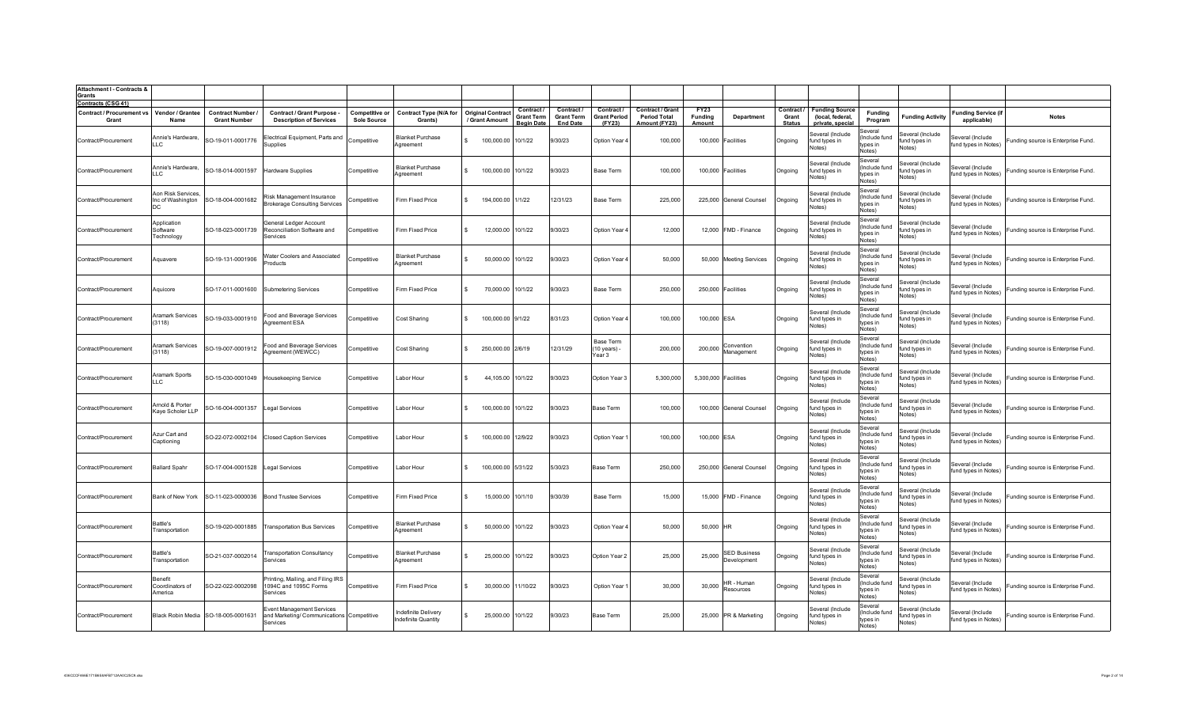| <b>Attachment I - Contracts &amp;</b><br><b>Grants</b>                 |                                                |                                               |                                                                                           |                                             |                                            |                                            |                                                    |                                                  |                                             |                                                                 |                           |                                    |                                      |                                                               |                                                |                                             |                                           |                                    |
|------------------------------------------------------------------------|------------------------------------------------|-----------------------------------------------|-------------------------------------------------------------------------------------------|---------------------------------------------|--------------------------------------------|--------------------------------------------|----------------------------------------------------|--------------------------------------------------|---------------------------------------------|-----------------------------------------------------------------|---------------------------|------------------------------------|--------------------------------------|---------------------------------------------------------------|------------------------------------------------|---------------------------------------------|-------------------------------------------|------------------------------------|
| <b>Contracts (CSG 41)</b><br><b>Contract / Procurement vs</b><br>Grant | Vendor / Grantee<br>Name                       | <b>Contract Number</b><br><b>Grant Number</b> | Contract / Grant Purpose -<br><b>Description of Services</b>                              | <b>Competitive or</b><br><b>Sole Source</b> | <b>Contract Type (N/A for</b><br>Grants)   | <b>Original Contract</b><br>/ Grant Amount | Contract<br><b>Grant Term</b><br><b>Begin Date</b> | Contract<br><b>Grant Term</b><br><b>End Date</b> | Contract /<br><b>Grant Period</b><br>(FY23) | <b>Contract / Grant</b><br><b>Period Total</b><br>Amount (FY23) | FY23<br>Funding<br>Amount | <b>Department</b>                  | Contract /<br>Grant<br><b>Status</b> | <b>Funding Source</b><br>(local, federal,<br>private, special | Funding<br>Program                             | <b>Funding Activity</b>                     | <b>Funding Service (if</b><br>applicable) | <b>Notes</b>                       |
| Contract/Procurement                                                   | Annie's Hardware,<br>LLC                       | SO-19-011-0001776                             | Electrical Equipment, Parts and<br>Supplies                                               | Competitive                                 | <b>Blanket Purchase</b><br>Agreement       | 100,000.00 10/1/22                         |                                                    | 9/30/23                                          | Option Year 4                               | 100,000                                                         |                           | 100,000 Facilities                 | Ongoing                              | Several (Include<br>und types in<br>Notes)                    | Several<br>(Include fund<br>types in<br>Notes) | Several (Include<br>fund types in<br>Notes) | Several (Include<br>fund types in Notes)  | Funding source is Enterprise Fund. |
| Contract/Procurement                                                   | Annie's Hardware,<br>LLC.                      | SO-18-014-0001597                             | <b>Hardware Supplies</b>                                                                  | Competitive                                 | <b>Blanket Purchase</b><br>Aareement       | 100,000.00 10/1/22                         |                                                    | 9/30/23                                          | Base Term                                   | 100,000                                                         |                           | 100,000 Facilities                 | Ongoing                              | Several (Include<br>fund types in<br>Votes)                   | Several<br>(Include fund<br>tvnes in<br>Notes) | Several (Include<br>fund types in<br>Notes) | Several (Include<br>fund types in Notes)  | Funding source is Enterprise Fund. |
| Contract/Procurement                                                   | Aon Risk Services,<br>Inc of Washington<br>DC. | SO-18-004-0001682                             | Risk Management Insurance<br><b>Brokerage Consulting Services</b>                         | Competitive                                 | Firm Fixed Price                           | 194,000.00 1/1/22<br>$\mathbb{R}$          |                                                    | 12/31/23                                         | Base Term                                   | 225,000                                                         |                           | 225,000 General Counsel            | Ongoing                              | Several (Include<br>fund types in<br>Notes)                   | Several<br>(Include fund<br>tvpes in<br>Notes) | Several (Include<br>fund types in<br>Votes) | Several (Include<br>fund types in Notes)  | Funding source is Enterprise Fund. |
| Contract/Procurement                                                   | Application<br>Software<br>Technology          | SO-18-023-0001739                             | <b>General Ledger Account</b><br>Reconciliation Software and<br>Services                  | Competitive                                 | Firm Fixed Price                           | 12,000.00                                  | 10/1/22                                            | 9/30/23                                          | Option Year                                 | 12,000                                                          |                           | 12,000 FMD - Finance               | Ongoing                              | Several (Include<br>und types in<br>Notes)                    | Several<br>Include fund<br>tvpes in<br>Notes)  | Several (Include<br>fund types in<br>Notes) | Several (Include<br>fund types in Notes)  | Funding source is Enterprise Fund  |
| Contract/Procurement                                                   | Aquavere                                       | SO-19-131-0001906                             | Water Coolers and Associated<br>Products                                                  | Competitive                                 | <b>Blanket Purchase</b><br>Agreement       | 50,000.00                                  | 10/1/22                                            | 9/30/23                                          | Option Year                                 | 50,000                                                          |                           | 50,000 Meeting Services            | Ongoing                              | Several (Include<br>fund types in<br>Notes)                   | Several<br>(Include fund<br>types in<br>Notes) | Several (Include<br>fund types in<br>Notes) | Several (Include<br>fund types in Notes)  | Funding source is Enterprise Fund. |
| Contract/Procurement                                                   | Aquicore                                       |                                               | SO-17-011-0001600 Submetering Services                                                    | Competitive                                 | Firm Fixed Price                           | 70,000.00                                  | 10/1/22                                            | 9/30/23                                          | Base Term                                   | 250,000                                                         |                           | 250,000 Facilities                 | Ongoing                              | Several (Include<br>fund types in<br>Notes)                   | Several<br>(Include fund<br>tvpes in<br>Notes) | Several (Include<br>fund types in<br>Notes) | Several (Include<br>fund types in Notes)  | Funding source is Enterprise Fund. |
| Contract/Procurement                                                   | Aramark Services<br>(3118)                     | SO-19-033-0001910                             | Food and Beverage Services<br>Agreement ESA                                               | Competitive                                 | Cost Sharing                               | 100,000.00 9/1/22<br>$\mathbf{S}$          |                                                    | 8/31/23                                          | Option Year 4                               | 100.000                                                         | 100,000 ESA               |                                    | Ongoing                              | Several (Include<br>fund types in<br>Notes)                   | Several<br>Include fund<br>tvnes in<br>Notes)  | Several (Include<br>fund types in<br>Notes) | Several (Include<br>fund types in Notes)  | Funding source is Enterprise Fund. |
| Contract/Procurement                                                   | Aramark Services<br>(3118)                     | SO-19-007-0001912                             | Food and Beverage Services<br>Agreement (WEWCC)                                           | Competitive                                 | Cost Sharing                               | 250,000.00 2/6/19                          |                                                    | 12/31/29                                         | Base Term<br>(10 years) -<br>Year 3         | 200,000                                                         | 200,000                   | Convention<br>Management           | Ongoing                              | Several (Include<br>fund types in<br>Notes)                   | Several<br>Include fund<br>tvpes in<br>Notes)  | Several (Include<br>fund types in<br>Notes) | everal (Include<br>fund types in Notes)   | Funding source is Enterprise Fund. |
| Contract/Procurement                                                   | Aramark Sports<br>LLC                          | SO-15-030-0001049                             | <b>Housekeeping Service</b>                                                               | Competitive                                 | Labor Hour                                 | 44,105.00                                  | 10/1/22                                            | 9/30/23                                          | Option Year 3                               | 5,300,000                                                       | 5,300,000 Facilities      |                                    | Ongoing                              | Several (Include<br>und types in<br>Notes)                    | Several<br>Include fund<br>types in<br>Notes)  | Several (Include<br>fund types in<br>Notes) | everal (Include<br>fund types in Notes)   | Funding source is Enterprise Fund. |
| Contract/Procurement                                                   | Arnold & Porter<br>Kaye Scholer LLP            | SO-16-004-0001357                             | <b>Legal Services</b>                                                                     | Competitive                                 | Labor Hour                                 | 100,000.00                                 | 10/1/22                                            | 9/30/23                                          | <b>Base Term</b>                            | 100,000                                                         |                           | 100,000 General Counsel            | Ongoing                              | Several (Include<br>und types in<br>Notes)                    | Several<br>Include fund<br>ypes in<br>Notes)   | Several (Include<br>fund types in<br>Notes) | everal (Include<br>fund types in Notes)   | Funding source is Enterprise Fund. |
| Contract/Procurement                                                   | Azur Cart and<br>Captioning                    | SO-22-072-0002104                             | <b>Closed Caption Services</b>                                                            | Competitive                                 | Labor Hour                                 | 100,000.00 12/9/22                         |                                                    | 9/30/23                                          | Option Year                                 | 100,000                                                         | 100,000 ESA               |                                    | Ongoing                              | Several (Include<br>fund types in<br>Notes)                   | Several<br>(Include fund<br>types in<br>Notes) | Several (Include<br>fund types in<br>Notes) | everal (Include<br>fund types in Notes)   | Funding source is Enterprise Fund. |
| Contract/Procurement                                                   | <b>Ballard Spahr</b>                           | SO-17-004-0001528                             | Legal Services                                                                            | Competitive                                 | Labor Hour                                 | 100,000.00 5/31/22                         |                                                    | 5/30/23                                          | <b>Base Term</b>                            | 250,000                                                         |                           | 250,000 General Counsel            | Ongoing                              | Several (Include<br>fund types in<br>Notes)                   | Several<br>Include fund<br>tvnes in<br>Notes)  | Several (Include<br>fund types in<br>Notes) | everal (Include<br>fund types in Notes)   | Funding source is Enterprise Fund. |
| Contract/Procurement                                                   | Bank of New York                               | SO-11-023-0000036                             | <b>Bond Trustee Services</b>                                                              | Competitive                                 | Firm Fixed Price                           | 15,000.00 10/1/10                          |                                                    | 9/30/39                                          | Base Term                                   | 15,000                                                          |                           | 15,000 FMD - Finance               | Ongoing                              | Several (Include<br>fund types in<br>Votes)                   | Several<br>Include fund<br>tvpes in<br>Notes)  | Several (Include<br>fund types in<br>Votes) | everal (Include<br>fund types in Notes)   | Funding source is Enterprise Fund. |
| Contract/Procurement                                                   | Battle's<br>Transportation                     | SO-19-020-0001885                             | <b>Transportation Bus Services</b>                                                        | Competitive                                 | <b>Blanket Purchase</b><br>Agreement       | 50,000.00                                  | 10/1/22                                            | 9/30/23                                          | Option Year                                 | 50,000                                                          | 50,000 HR                 |                                    | Ongoing                              | Several (Include<br>fund types in<br>Notes)                   | Several<br>Include fund<br>types in<br>Notes)  | everal (Include<br>fund types in<br>Notes)  | Several (Include<br>fund types in Notes)  | Funding source is Enterprise Fund  |
| Contract/Procurement                                                   | Battle's<br>Transportation                     | SO-21-037-0002014                             | Transportation Consultancv<br>Services                                                    | Competitive                                 | <b>Blanket Purchase</b><br>Agreement       | 25,000.00                                  | 10/1/22                                            | 9/30/23                                          | Option Year 2                               | 25,000                                                          | 25,000                    | <b>SED Business</b><br>Development | Ongoing                              | Several (Include<br>fund types in<br>Notes)                   | Several<br>(Include fund<br>types in<br>Notes) | Several (Include<br>und types in<br>Notes)  | Several (Include<br>fund types in Notes)  | Funding source is Enterprise Fund. |
| Contract/Procurement                                                   | Renefit<br>Coordinators of<br>America          | SO-22-022-0002098                             | Printing, Mailing, and Filing IRS<br>1094C and 1095C Forms<br>Services                    | Competitive                                 | Firm Fixed Price                           | 30,000.00                                  | 11/10/22                                           | 9/30/23                                          | Option Year 1                               | 30,000                                                          | 30,000                    | HR - Human<br>Resources            | Ongoing                              | Several (Include<br>fund types in<br>Notes)                   | Several<br>(Include fund<br>types in<br>Notes) | Several (Include<br>fund types in<br>Notes) | Several (Include<br>fund types in Notes)  | Funding source is Enterprise Fund. |
| Contract/Procurement                                                   |                                                | Black Robin Media SO-18-005-0001631           | <b>Event Management Services</b><br>and Marketing/ Communications Competitive<br>Services |                                             | Indefinite Delivery<br>Indefinite Quantity | 25,000.00 10/1/22<br>$\mathbf{S}$          |                                                    | 9/30/23                                          | <b>Base Term</b>                            | 25,000                                                          |                           | 25,000 PR & Marketing              | Ongoing                              | Several (Include<br>fund types in<br>Notes)                   | Several<br>(Include fund<br>tvpes in<br>Notes) | everal (Include<br>fund types in<br>Notes)  | Several (Include<br>fund types in Notes)  | Funding source is Enterprise Fund. |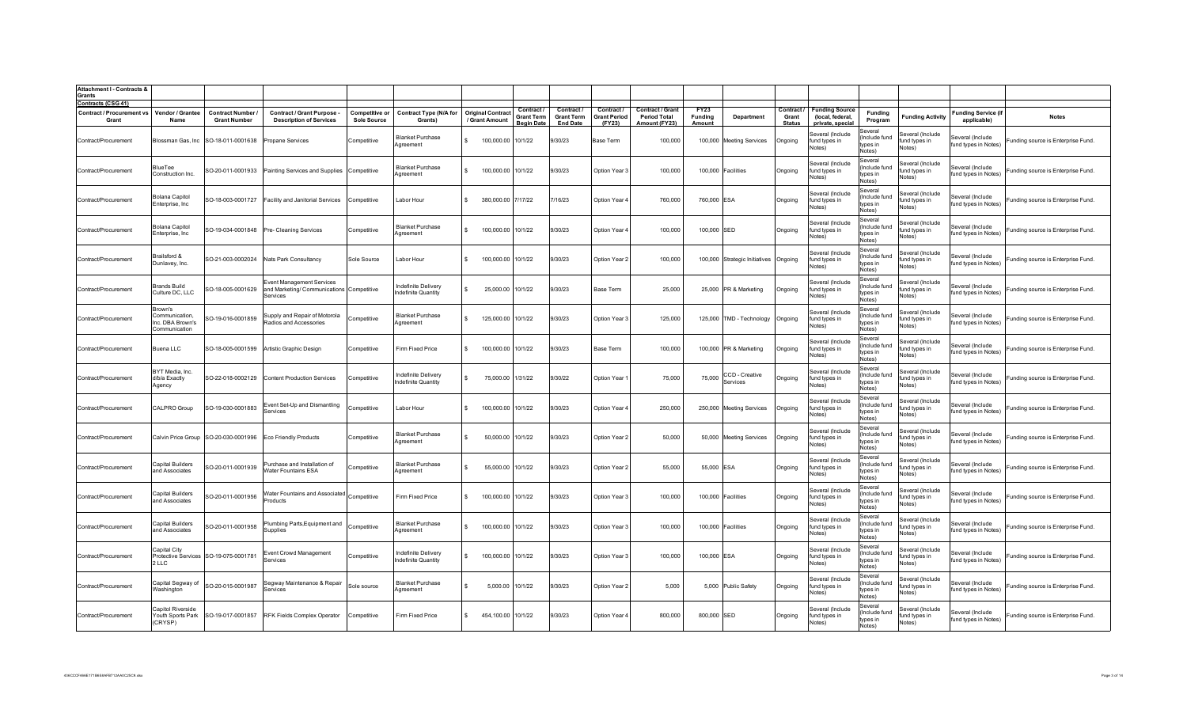| <b>Attachment I - Contracts &amp;</b><br><b>Grants</b>                 |                                                                |                                                      |                                                                                           |                                             |                                            |                                            |                                                           |                                                  |                                             |                                                                 |                           |                               |                                      |                                                               |                                                |                                             |                                           |                                    |
|------------------------------------------------------------------------|----------------------------------------------------------------|------------------------------------------------------|-------------------------------------------------------------------------------------------|---------------------------------------------|--------------------------------------------|--------------------------------------------|-----------------------------------------------------------|--------------------------------------------------|---------------------------------------------|-----------------------------------------------------------------|---------------------------|-------------------------------|--------------------------------------|---------------------------------------------------------------|------------------------------------------------|---------------------------------------------|-------------------------------------------|------------------------------------|
| <b>Contracts (CSG 41)</b><br><b>Contract / Procurement vs</b><br>Grant | Vendor / Grantee<br>Name                                       | <b>Contract Number</b><br><b>Grant Number</b>        | <b>Contract / Grant Purpose -</b><br><b>Description of Services</b>                       | <b>Competitive or</b><br><b>Sole Source</b> | <b>Contract Type (N/A for</b><br>Grants)   | <b>Original Contract</b><br>/ Grant Amount | <b>Contract</b><br><b>Grant Term</b><br><b>Beain Date</b> | Contract<br><b>Grant Term</b><br><b>End Date</b> | Contract /<br><b>Grant Period</b><br>(FY23) | <b>Contract / Grant</b><br><b>Period Total</b><br>Amount (FY23) | FY23<br>Funding<br>Amount | Department                    | Contract /<br>Grant<br><b>Status</b> | <b>Funding Source</b><br>(local, federal,<br>private, special | Fundina<br>Program                             | <b>Funding Activity</b>                     | <b>Funding Service (if</b><br>applicable) | <b>Notes</b>                       |
| Contract/Procurement                                                   |                                                                | Blossman Gas, Inc SO-18-011-0001638 Propane Services |                                                                                           | Competitive                                 | <b>Blanket Purchase</b><br>Aareement       | 100,000.00 10/1/22                         |                                                           | 9/30/23                                          | Base Term                                   | 100,000                                                         |                           | 100,000 Meeting Services      | Ongoing                              | Several (Include<br>und types in<br>Notes)                    | Several<br>(Include fund<br>tvpes in<br>Notes) | Several (Include<br>fund types in<br>Notes) | Several (Include<br>fund types in Notes)  | Funding source is Enterprise Fund. |
| Contract/Procurement                                                   | BlueTee<br>Construction Inc.                                   |                                                      | SO-20-011-0001933 Painting Services and Supplies Competitive                              |                                             | <b>Blanket Purchase</b><br>Agreement       | 100,000.00 10/1/22                         |                                                           | 9/30/23                                          | Option Year 3                               | 100,000                                                         |                           | 100,000 Facilities            | Ongoing                              | Several (Include<br>fund types in<br>Votes)                   | Several<br>(Include fund<br>tvnes in<br>Notes) | Several (Include<br>fund types in<br>Notes) | Several (Include<br>fund types in Notes)  | Funding source is Enterprise Fund. |
| Contract/Procurement                                                   | <b>Bolana Capitol</b><br>Enterprise, Inc.                      |                                                      | SO-18-003-0001727 Facility and Janitorial Services                                        | Competitive                                 | Labor Hour                                 | 380,000.00 7/17/22                         |                                                           | 7/16/23                                          | Option Year 4                               | 760,000                                                         | 760,000 ESA               |                               | Ongoing                              | Several (Include<br>fund types in<br>Notes)                   | Several<br>(Include fund<br>tvpes in<br>Notes) | Several (Include<br>fund types in<br>Notes) | Several (Include<br>fund types in Notes)  | Funding source is Enterprise Fund. |
| Contract/Procurement                                                   | <b>Bolana Capitol</b><br>Enterprise, Inc                       |                                                      | SO-19-034-0001848 Pre- Cleaning Services                                                  | Competitive                                 | <b>Blanket Purchase</b><br>Agreement       | 100,000.00                                 | 10/1/22                                                   | 9/30/23                                          | Option Year                                 | 100,000                                                         | 100,000 SED               |                               | Ongoing                              | Several (Include<br>fund types in<br>Notes)                   | Several<br>(Include fund<br>types in<br>Notes) | Several (Include<br>fund types in<br>Notes) | Several (Include<br>fund types in Notes)  | Funding source is Enterprise Fund. |
| Contract/Procurement                                                   | Brailsford &<br>Dunlavey, Inc.                                 |                                                      | SO-21-003-0002024 Nats Park Consultancy                                                   | Sole Source                                 | Labor Hour                                 | 100,000.00                                 | 10/1/22                                                   | 9/30/23                                          | Option Year 2                               | 100,000                                                         |                           | 100,000 Strategic Initiatives | Ongoing                              | Several (Include<br>fund types in<br>Notes)                   | Several<br>(Include fund<br>tvpes in<br>Notes) | Several (Include<br>fund types in<br>Notes) | Several (Include<br>fund types in Notes)  | Funding source is Enterprise Fund. |
| Contract/Procurement                                                   | <b>Brands Build</b><br>Culture DC, LLC                         | SO-18-005-0001629                                    | <b>Event Management Services</b><br>and Marketing/ Communications Competitive<br>Services |                                             | Indefinite Delivery<br>Indefinite Quantity | 25,000.00 10/1/22<br>$\mathbf{S}$          |                                                           | 9/30/23                                          | Base Term                                   | 25,000                                                          |                           | 25,000 PR & Marketing         | Ongoing                              | Several (Include<br>fund types in<br>Notes)                   | Several<br>(Include fund<br>tvpes in<br>Notes) | Several (Include<br>fund types in<br>Notes) | Several (Include<br>fund types in Notes)  | Funding source is Enterprise Fund. |
| Contract/Procurement                                                   | Brown's<br>Communication,<br>Inc. DBA Brown's<br>Communication | SO-19-016-0001859                                    | Supply and Repair of Motorola<br>Radios and Accessories                                   | Competitive                                 | Blanket Purchase<br>Aareement              | 125,000.00                                 | 10/1/22                                                   | 9/30/23                                          | Option Year 3                               | 125,000                                                         |                           | 125,000 TMD - Technology      | Ongoing                              | Several (Include<br>fund types in<br>Notes)                   | Several<br>Include fund<br>tvpes in<br>Notes)  | Several (Include<br>fund types in<br>Notes) | everal (Include<br>fund types in Notes)   | Funding source is Enterprise Fund. |
| Contract/Procurement                                                   | <b>Buena LLC</b>                                               | SO-18-005-0001599                                    | Artistic Graphic Design                                                                   | Competitive                                 | Firm Fixed Price                           | 100,000.00                                 | 10/1/22                                                   | 9/30/23                                          | Base Term                                   | 100,000                                                         |                           | 100,000   PR & Marketing      | Ongoing                              | Several (Include<br>fund types in<br>Notes)                   | Several<br>Include fund<br>tvpes in<br>Notes)  | Several (Include<br>fund types in<br>Notes) | everal (Include<br>fund types in Notes)   | Funding source is Enterprise Fund. |
| Contract/Procurement                                                   | BYT Media, Inc.<br>d/b/a Exactly<br>Agency                     |                                                      | SO-22-018-0002129 Content Production Services                                             | Competitive                                 | Indefinite Delivery<br>ndefinite Quantity  | 75,000.00                                  | 1/31/22                                                   | 9/30/22                                          | Option Year                                 | 75,000                                                          | 75,000                    | CCD - Creative<br>Services    | Ongoing                              | Several (Include<br>und types in<br>Notes)                    | Several<br>Include fund<br>types in<br>Notes)  | Several (Include<br>fund types in<br>Notes) | everal (Include<br>fund types in Notes)   | unding source is Enterprise Fund.  |
| Contract/Procurement                                                   | CALPRO Group                                                   | SO-19-030-0001883                                    | Event Set-Up and Dismantling<br>Services                                                  | Competitive                                 | Labor Hour                                 | 100,000.00 10/1/22                         |                                                           | 9/30/23                                          | Option Year                                 | 250,000                                                         |                           | 250,000 Meeting Services      | Ongoing                              | Several (Include<br>fund types in<br>Notes)                   | Several<br>Include fund<br>types in<br>Notes)  | Several (Include<br>fund types in<br>Notes) | everal (Include<br>fund types in Notes)   | Funding source is Enterprise Fund. |
| Contract/Procurement                                                   |                                                                |                                                      | Calvin Price Group SO-20-030-0001996 Eco Friendly Products                                | Competitive                                 | <b>Blanket Purchase</b><br>Agreement       | 50,000.00 10/1/22                          |                                                           | 9/30/23                                          | Option Year 2                               | 50,000                                                          |                           | 50,000 Meeting Services       | Ongoing                              | Several (Include<br>fund types in<br>Notes)                   | Several<br>Include fund<br>tvnes in<br>Notes)  | Several (Include<br>fund types in<br>Notes) | everal (Include<br>fund types in Notes)   | Funding source is Enterprise Fund. |
| Contract/Procurement                                                   | Capital Builders<br>and Associates                             | SO-20-011-0001939                                    | Purchase and Installation of<br>Water Fountains ESA                                       | Competitive                                 | <b>Blanket Purchase</b><br>Aareement       | 55,000.00 10/1/22                          |                                                           | 9/30/23                                          | Option Year 2                               | 55,000                                                          | 55,000 ESA                |                               | Ongoing                              | Several (Include<br>fund types in<br>Votes)                   | Several<br>(Include fund<br>tvpes in<br>Notes) | everal (Include<br>fund types in<br>Votes)  | everal (Include<br>fund types in Notes)   | Funding source is Enterprise Fund. |
| Contract/Procurement                                                   | Capital Builders<br>and Associates                             | SO-20-011-0001956                                    | Water Fountains and Associated Competitive<br>Products                                    |                                             | Firm Fixed Price                           | 100,000.00 10/1/22                         |                                                           | 9/30/23                                          | Option Year 3                               | 100,000                                                         |                           | 100,000 Facilities            | Ongoing                              | Several (Include<br>fund types in<br>Notes)                   | Several<br>(Include fund<br>tvpes in<br>Notes) | Several (Include<br>fund types in<br>Notes) | Several (Include<br>fund types in Notes)  | Funding source is Enterprise Fund. |
| Contract/Procurement                                                   | Capital Builders<br>and Associates                             | SO-20-011-0001958                                    | Plumbing Parts, Equipment and<br>Supplies                                                 | Competitive                                 | <b>Blanket Purchase</b><br>Agreement       | 100,000.00 10/1/22                         |                                                           | 9/30/23                                          | Option Year 3                               | 100,000                                                         |                           | 100,000 Facilities            | Ongoing                              | Several (Include<br>fund types in<br>Notes)                   | Several<br>(Include fund<br>types in<br>Notes) | Several (Include<br>fund types in<br>Notes) | several (Include<br>fund types in Notes)  | Funding source is Enterprise Fund. |
| Contract/Procurement                                                   | Capital City<br>2 LLC                                          | Protective Services SO-19-075-0001781                | Event Crowd Management<br>Services                                                        | Competitive                                 | Indefinite Delivery<br>ndefinite Quantity  | 100,000.00 10/1/22<br>\$.                  |                                                           | 9/30/23                                          | Option Year 3                               | 100,000                                                         | 100,000 ESA               |                               | Ongoing                              | Several (Include<br>fund types in<br>Notes)                   | Several<br>(Include fund<br>types in<br>Notes) | ieveral (Include<br>fund types in<br>Notes) | Several (Include<br>fund types in Notes)  | Funding source is Enterprise Fund. |
| Contract/Procurement                                                   | Capital Segway of<br>Washington                                | SO-20-015-0001987                                    | Segway Maintenance & Repair<br>Services                                                   | Sole source                                 | Blanket Purchase<br>Agreement              | 5,000.00 10/1/22<br>$\mathbf{S}$           |                                                           | 9/30/23                                          | Option Year 2                               | 5.000                                                           |                           | 5,000 Public Safety           | Ongoing                              | Several (Include<br>fund types in<br>Notes)                   | Several<br>(Include fund<br>tvnes in<br>Notes) | everal (Include<br>fund types in<br>Notes)  | Several (Include<br>fund types in Notes)  | Funding source is Enterprise Fund. |
| Contract/Procurement                                                   | Capitol Riverside<br>Youth Sports Park<br>(CRYSP)              |                                                      | SO-19-017-0001857 RFK Fields Complex Operator                                             | Competitive                                 | Firm Fixed Price                           | 454,100.00 10/1/22<br>$\mathbf{R}$         |                                                           | 9/30/23                                          | Option Year 4                               | 800,000                                                         | 800,000 SED               |                               | Ongoing                              | Several (Include<br>fund types in<br>Notes)                   | Several<br>Include fund<br>types in<br>Notes)  | ieveral (Include<br>fund types in<br>Notes) | Several (Include<br>fund types in Notes)  | Funding source is Enterprise Fund. |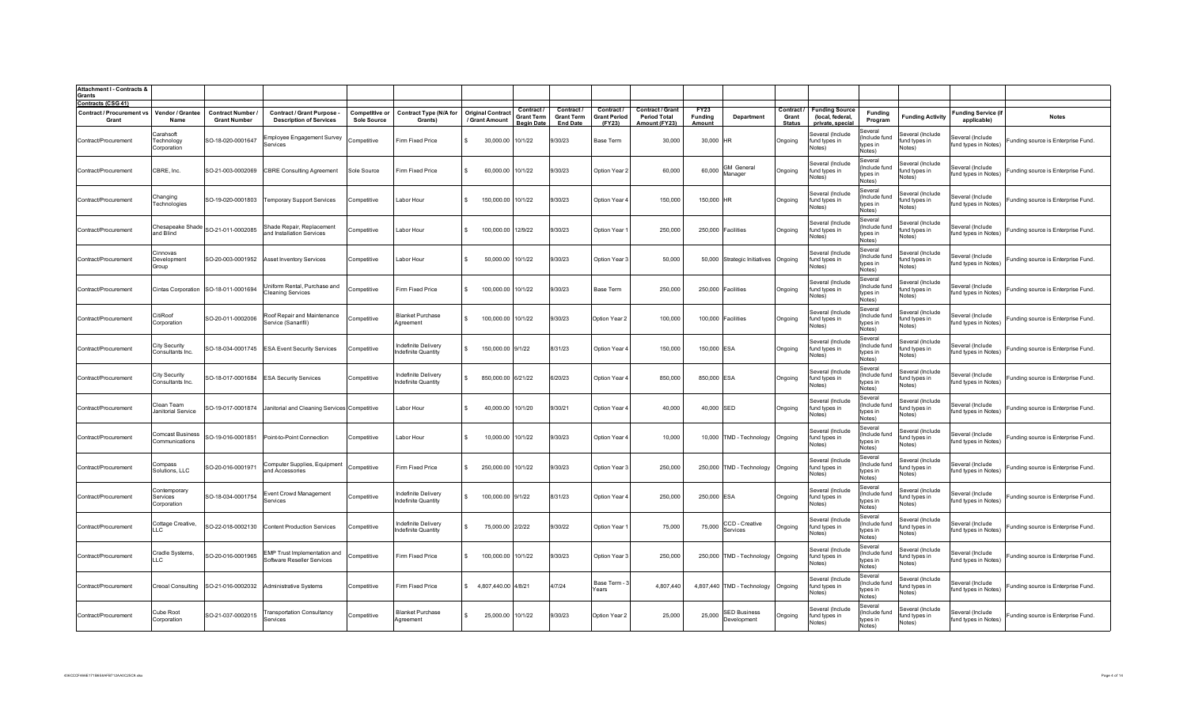| <b>Attachment I - Contracts &amp;</b><br>Grants |                                               |                                        |                                                                     |                                             |                                            |                                            |                                                    |                                                  |                                             |                                                          |                                  |                                    |                                      |                                                               |                                                |                                             |                                           |                                    |
|-------------------------------------------------|-----------------------------------------------|----------------------------------------|---------------------------------------------------------------------|---------------------------------------------|--------------------------------------------|--------------------------------------------|----------------------------------------------------|--------------------------------------------------|---------------------------------------------|----------------------------------------------------------|----------------------------------|------------------------------------|--------------------------------------|---------------------------------------------------------------|------------------------------------------------|---------------------------------------------|-------------------------------------------|------------------------------------|
| Contracts (CSG 41)                              |                                               |                                        |                                                                     |                                             |                                            |                                            |                                                    |                                                  |                                             |                                                          |                                  |                                    |                                      |                                                               |                                                |                                             |                                           |                                    |
| <b>Contract / Procurement vs</b><br>Grant       | Vendor / Grantee<br>Name                      | Contract Number<br><b>Grant Number</b> | <b>Contract / Grant Purpose -</b><br><b>Description of Services</b> | <b>Competitive or</b><br><b>Sole Source</b> | <b>Contract Type (N/A for</b><br>Grants)   | <b>Original Contract</b><br>/ Grant Amount | Contract<br><b>Grant Term</b><br><b>Begin Date</b> | Contract<br><b>Grant Term</b><br><b>End Date</b> | Contract /<br><b>Grant Period</b><br>(FY23) | Contract / Grant<br><b>Period Total</b><br>Amount (FY23) | <b>FY23</b><br>Funding<br>Amount | Department                         | Contract /<br>Grant<br><b>Status</b> | <b>Funding Source</b><br>(local, federal,<br>private, special | <b>Funding</b><br>Program                      | <b>Funding Activity</b>                     | <b>Funding Service (if</b><br>applicable) | <b>Notes</b>                       |
| Contract/Procurement                            | Carahsoft<br><b>Fechnology</b><br>Corporation | SO-18-020-0001647                      | Employee Engagement Survey<br><b>Services</b>                       | Competitive                                 | Firm Fixed Price                           | 30,000.00                                  | 10/1/22                                            | 9/30/23                                          | Base Term                                   | 30,000                                                   | 30,000 HR                        |                                    | Ongoing                              | Several (Include<br>und types in<br>Votes)                    | Several<br>(Include fund<br>types in<br>Notes) | Several (Include<br>fund types in<br>Notes) | Several (Include<br>fund types in Notes)  | Funding source is Enterprise Fund. |
| Contract/Procurement                            | CBRE, Inc.                                    | SO-21-003-0002069                      | <b>CBRE Consulting Agreement</b>                                    | Sole Source                                 | Firm Fixed Price                           | 60,000.00 10/1/22<br>\$.                   |                                                    | 9/30/23                                          | Option Year 2                               | 60,000                                                   | 60,000                           | <b>GM</b> General<br>Manager       | Ongoing                              | Several (Include<br>fund types in<br>Notes)                   | Several<br>(Include fund<br>types in<br>Notes) | Several (Include<br>fund types in<br>Notes) | Several (Include<br>fund types in Notes)  | Funding source is Enterprise Fund. |
| Contract/Procurement                            | Changing<br><b>Fechnologies</b>               | SO-19-020-0001803                      | <b>Temporary Support Services</b>                                   | Competitive                                 | Labor Hour                                 | 150,000.00 10/1/22                         |                                                    | 9/30/23                                          | Option Year 4                               | 150,000                                                  | 150,000 HR                       |                                    | Ongoing                              | Several (Include<br>fund types in<br>Votes)                   | Several<br>(Include fund<br>tvpes in<br>Notes) | Several (Include<br>fund types in<br>Votes) | Several (Include<br>fund types in Notes)  | Funding source is Enterprise Fund. |
| Contract/Procurement                            | Chesapeake Shade<br>and Blind                 | SO-21-011-0002085                      | Shade Repair, Replacement<br>and Installation Services              | Competitive                                 | Labor Hour                                 | 100,000.00<br>$\mathbb{R}$                 | 12/9/22                                            | 9/30/23                                          | Option Year                                 | 250,000                                                  |                                  | 250,000 Facilities                 | Ongoing                              | Several (Include<br>fund types in<br>Notes)                   | Several<br>Include fund<br>types in<br>Notes)  | Several (Include<br>fund types in<br>Notes) | Several (Include<br>fund types in Notes)  | Funding source is Enterprise Fund. |
| Contract/Procurement                            | Cinnovas<br>Development<br>Group              | SO-20-003-0001952                      | <b>Asset Inventory Services</b>                                     | Competitive                                 | Labor Hour                                 | 50,000.00                                  | 10/1/22                                            | 9/30/23                                          | Option Year 3                               | 50,000                                                   |                                  | 50,000 Strategic Initiatives       | Ongoing                              | Several (Include<br>fund types in<br>Notes)                   | Several<br>(Include fund<br>tvpes in<br>Notes) | Several (Include<br>fund types in<br>Notes) | Several (Include<br>fund types in Notes)  | Funding source is Enterprise Fund. |
| Contract/Procurement                            |                                               | Cintas Corporation SO-18-011-0001694   | Jniform Rental, Purchase and<br><b>Cleaning Services</b>            | Competitive                                 | Firm Fixed Price                           | 100,000.00                                 | 10/1/22                                            | 9/30/23                                          | Base Term                                   | 250,000                                                  |                                  | 250,000 Facilities                 | Ongoing                              | Several (Include<br>fund types in<br>Notes)                   | Several<br>(Include fund<br>tvpes in<br>Notes) | Several (Include<br>fund types in<br>Notes) | Several (Include<br>fund types in Notes)  | Funding source is Enterprise Fund. |
| Contract/Procurement                            | CitiRoof<br>Corporation                       | SO-20-011-0002006                      | Roof Repair and Maintenance<br>Service (Sanarifil)                  | Competitive                                 | <b>Blanket Purchase</b><br>Agreement       | 100,000.00                                 | 10/1/22                                            | 9/30/23                                          | Option Year 2                               | 100.000                                                  |                                  | 100,000 Facilities                 | Ongoing                              | Several (Include<br>fund types in<br>Notes)                   | Several<br>(Include fund<br>tvnes in<br>Notes) | Several (Include<br>fund types in<br>Notes) | Several (Include<br>fund types in Notes)  | Funding source is Enterprise Fund. |
| Contract/Procurement                            | City Security<br>Consultants Inc.             |                                        | SO-18-034-0001745 ESA Event Security Services                       | Competitive                                 | Indefinite Delivery<br>Indefinite Quantity | 150,000.00 9/1/22                          |                                                    | 8/31/23                                          | Option Year 4                               | 150,000                                                  | 150,000 ESA                      |                                    | Ongoing                              | Several (Include<br>fund types in<br>Notes)                   | Several<br>Include fund<br>types in<br>Notes)  | Several (Include<br>fund types in<br>Notes) | everal (Include<br>fund types in Notes)   | Funding source is Enterprise Fund. |
| Contract/Procurement                            | City Security<br>Consultants Inc.             | SO-18-017-0001684                      | <b>ESA Security Services</b>                                        | Competitive                                 | Indefinite Delivery<br>ndefinite Quantity  | 850,000.00 6/21/22                         |                                                    | 6/20/23                                          | Option Year                                 | 850,000                                                  | 850,000 ESA                      |                                    | Ongoing                              | Several (Include<br>und types in<br>Notes)                    | Several<br>Include fund<br>types in<br>Notes)  | Several (Include<br>fund types in<br>Notes) | everal (Include<br>fund types in Notes)   | Funding source is Enterprise Fund. |
| Contract/Procurement                            | Clean Team<br><b>Janitorial Service</b>       |                                        | SO-19-017-0001874 Janitorial and Cleaning Services Competitive      |                                             | Labor Hour                                 | 40,000.00                                  | 10/1/20                                            | 9/30/21                                          | Option Year                                 | 40,000                                                   | 40,000 SED                       |                                    | Ongoing                              | Several (Include<br>und types in<br>Notes)                    | Several<br>Include fund<br>types in<br>Notes)  | Several (Include<br>und types in<br>Notes)  | Several (Include<br>fund types in Notes)  | unding source is Enterprise Fund.  |
| Contract/Procurement                            | <b>Comcast Business</b><br>Communications     | SO-19-016-0001851                      | Point-to-Point Connection                                           | Competitive                                 | Labor Hour                                 | 10,000.00 10/1/22                          |                                                    | 9/30/23                                          | Option Year                                 | 10,000                                                   |                                  | 10,000 TMD - Technology            | Ongoing                              | Several (Include<br>und types in<br>Notes)                    | Several<br>(Include fund<br>types in<br>Notes) | Several (Include<br>fund types in<br>Notes) | everal (Include<br>fund types in Notes)   | Funding source is Enterprise Fund. |
| Contract/Procurement                            | Compass<br>Solutions, LLC                     | SO-20-016-0001971                      | Computer Supplies, Equipment<br>and Accessories                     | Competitive                                 | Firm Fixed Price                           | 250,000.00 10/1/22                         |                                                    | 9/30/23                                          | Option Year 3                               | 250,000                                                  |                                  | 250,000 TMD - Technology           | Ongoing                              | Several (Include<br>fund types in<br>Votes)                   | Several<br>(Include fund<br>tvnes in<br>Notes) | Several (Include<br>fund types in<br>Votes) | everal (Include<br>fund types in Notes)   | Funding source is Enterprise Fund. |
| Contract/Procurement                            | Contemporary<br>Services<br>Corporation       | SO-18-034-0001754                      | Event Crowd Management<br>Services                                  | Competitive                                 | Indefinite Delivery<br>ndefinite Quantity  | 100,000.00 9/1/22                          |                                                    | 8/31/23                                          | Option Year                                 | 250,000                                                  | 250,000 ESA                      |                                    | Ongoing                              | Several (Include<br>fund types in<br>Notes)                   | Several<br>(Include fund<br>tvpes in<br>Notes) | everal (Include<br>fund types in<br>Notes)  | everal (Include<br>fund types in Notes)   | Funding source is Enterprise Fund. |
| Contract/Procurement                            | Cottage Creative,<br>LLC                      | SO-22-018-0002130                      | <b>Content Production Services</b>                                  | Competitive                                 | Indefinite Delivery<br>ndefinite Quantity  | 75,000.00 2/2/22                           |                                                    | 9/30/22                                          | Option Year                                 | 75,000                                                   | 75,000                           | CCD - Creative<br>Services         | Ongoing                              | Several (Include<br>fund types in<br>Notes)                   | Several<br>(Include fund<br>types in<br>Notes) | Several (Include<br>fund types in<br>Notes) | Several (Include<br>fund types in Notes)  | Funding source is Enterprise Fund. |
| Contract/Procurement                            | Cradle Systems,<br>LLC.                       | SO-20-016-0001965                      | EMP Trust Implementation and<br>Software Reseller Services          | Competitive                                 | Firm Fixed Price                           | 100,000.00 10/1/22<br>\$.                  |                                                    | 9/30/23                                          | Option Year 3                               | 250,000                                                  |                                  | 250,000 TMD - Technology           | Ongoing                              | Several (Include<br>fund types in<br>Notes)                   | Several<br>(Include fund<br>types in<br>Notes) | ieveral (Include<br>fund types in<br>Notes) | Several (Include<br>fund types in Notes)  | Funding source is Enterprise Fund. |
| Contract/Procurement                            | <b>Creoal Consulting</b>                      | SO-21-016-0002032                      | <b>Administrative Systems</b>                                       | Competitive                                 | Firm Fixed Price                           | 4,807,440.00 4/8/21<br>$\mathbf{R}$        |                                                    | 4/7/24                                           | Base Term -<br>Years                        | 4.807.440                                                |                                  | 4,807,440 TMD - Technology         | Ongoing                              | Several (Include<br>fund types in<br>Notes)                   | Several<br>(Include fund<br>tvnes in<br>Notes) | everal (Include<br>fund types in<br>Notes)  | Several (Include<br>fund types in Notes)  | Funding source is Enterprise Fund. |
| Contract/Procurement                            | Cube Root<br>Corporation                      | SO-21-037-0002015                      | <b>Transportation Consultancy</b><br>Services                       | Competitive                                 | <b>Blanket Purchase</b><br>Agreement       | 25,000.00 10/1/22<br>$\mathbb{R}$          |                                                    | 9/30/23                                          | Option Year 2                               | 25,000                                                   | 25,000                           | <b>SED Business</b><br>Development | Ongoing                              | Several (Include<br>fund types in<br>Notes)                   | Several<br>Include fund<br>types in<br>Notes)  | ieveral (Include<br>fund types in<br>Notes) | Several (Include<br>fund types in Notes)  | Funding source is Enterprise Fund. |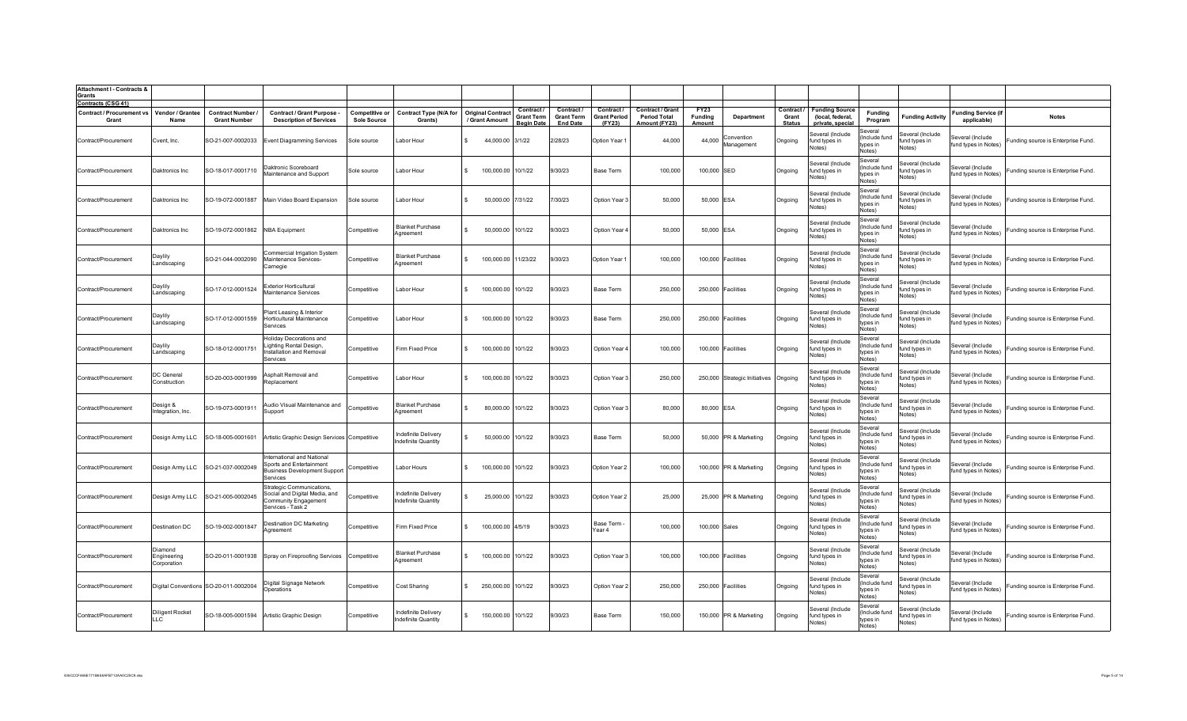| <b>Attachment I - Contracts &amp;</b><br>Grants |                                       |                                               |                                                                                                           |                                      |                                            |                                            |                                                    |                                                    |                                            |                                                                 |                                  |                               |                                      |                                                               |                                                            |                                             |                                           |                                    |
|-------------------------------------------------|---------------------------------------|-----------------------------------------------|-----------------------------------------------------------------------------------------------------------|--------------------------------------|--------------------------------------------|--------------------------------------------|----------------------------------------------------|----------------------------------------------------|--------------------------------------------|-----------------------------------------------------------------|----------------------------------|-------------------------------|--------------------------------------|---------------------------------------------------------------|------------------------------------------------------------|---------------------------------------------|-------------------------------------------|------------------------------------|
| Contracts (CSG 41)                              |                                       |                                               |                                                                                                           |                                      |                                            |                                            |                                                    |                                                    |                                            |                                                                 |                                  |                               |                                      |                                                               |                                                            |                                             |                                           |                                    |
| <b>Contract / Procurement vs</b><br>Grant       | Vendor / Grantee<br>Name              | <b>Contract Number</b><br><b>Grant Number</b> | Contract / Grant Purpose<br><b>Description of Services</b>                                                | Competitive or<br><b>Sole Source</b> | <b>Contract Type (N/A for</b><br>Grants)   | <b>Original Contract</b><br>/ Grant Amount | Contract<br><b>Grant Term</b><br><b>Begin Date</b> | Contract /<br><b>Grant Term</b><br><b>End Date</b> | Contract/<br><b>Grant Period</b><br>(FY23) | <b>Contract / Grant</b><br><b>Period Total</b><br>Amount (FY23) | <b>FY23</b><br>Funding<br>Amount | Department                    | Contract /<br>Grant<br><b>Status</b> | <b>Funding Source</b><br>(local, federal,<br>private, special | <b>Funding</b><br>Program                                  | <b>Funding Activity</b>                     | <b>Funding Service (if</b><br>applicable) | <b>Notes</b>                       |
| Contract/Procurement                            | Cvent, Inc.                           | SO-21-007-0002033                             | Event Diagramming Services                                                                                | Sole source                          | Labor Hour                                 |                                            | 44,000.00 3/1/22                                   | 2/28/23                                            | Option Year 1                              | 44,000                                                          | 44,000                           | Convention<br>Management      | Ongoing                              | Several (Include<br>und types in<br>Votes)                    | Several<br>(Include fund<br>types in<br>Notes)             | Several (Include<br>fund types in<br>Notes) | Several (Include<br>fund types in Notes)  | Funding source is Enterprise Fund. |
| Contract/Procurement                            | Daktronics Inc                        | SO-18-017-0001710                             | Daktronic Scoreboard<br>Maintenance and Support                                                           | Sole source                          | Labor Hour                                 |                                            | 100,000.00 10/1/22                                 | 9/30/23                                            | Base Term                                  | 100,000                                                         | 100,000 SED                      |                               | Ongoing                              | Several (Include<br>fund types in<br>Votes)                   | Several<br>(Include fund<br>tvpes in<br>Notes)             | Several (Include<br>fund types in<br>Notes) | Several (Include<br>fund types in Notes)  | Funding source is Enterprise Fund. |
| Contract/Procurement                            | Daktronics Inc                        | SO-19-072-0001887                             | Main Video Board Expansion                                                                                | Sole source                          | Labor Hour                                 | $\mathbf{R}$                               | 50,000.00 7/31/22                                  | 7/30/23                                            | Option Year:                               | 50,000                                                          | 50,000 ESA                       |                               | Ongoing                              | Several (Include<br>fund types in<br>Votes)                   | Several<br>(Include fund<br>types in<br>Notes)             | Several (Include<br>fund types in<br>Notes) | Several (Include<br>fund types in Notes)  | Funding source is Enterprise Fund. |
| Contract/Procurement                            | Daktronics Inc                        | SO-19-072-0001862                             | <b>NBA Equipment</b>                                                                                      | Competitive                          | <b>Blanket Purchase</b><br>Agreement       |                                            | 50,000.00 10/1/22                                  | 9/30/23                                            | Option Year                                | 50,000                                                          | 50,000 ESA                       |                               | Ongoing                              | Several (Include<br>fund types in<br>Notes)                   | Several<br>(Include fund<br>types in<br>Notes)             | Several (Include<br>fund types in<br>Notes) | Several (Include<br>fund types in Notes)  | Funding source is Enterprise Fund. |
| Contract/Procurement                            | Daylily<br>Landscaping                | SO-21-044-0002090                             | Commercial Irrigation System<br>Maintenance Services-<br>Carnegie                                         | Competitive                          | <b>Blanket Purchase</b><br>Agreement       |                                            | 100,000.00 11/23/22                                | 9/30/23                                            | Option Year 1                              | 100,000                                                         | 100,000 Facilities               |                               | Ongoing                              | Several (Include<br>fund types in<br>Notes)                   | Several<br>(Include fund<br>types in<br>Notes)             | Several (Include<br>fund types in<br>Notes) | Several (Include<br>fund types in Notes)  | Funding source is Enterprise Fund. |
| Contract/Procurement                            | Daylily<br>Landscaping                | SO-17-012-0001524                             | <b>Exterior Horticultural</b><br>Maintenance Services                                                     | Competitive                          | Labor Hour                                 |                                            | 100,000.00 10/1/22                                 | 9/30/23                                            | Base Term                                  | 250,000                                                         | 250,000                          | Facilities                    | Ongoing                              | Several (Include<br>fund types in<br>Notes)                   | Several<br>(Include fund<br>types in<br>Notes)             | Several (Include<br>fund types in<br>Notes) | Several (Include<br>fund types in Notes)  | unding source is Enterprise Fund.  |
| Contract/Procurement                            | Daylily<br>Landscaping                | SO-17-012-0001559                             | Plant Leasing & Interior<br>Horticultural Maintenance<br>Services                                         | Competitive                          | Labor Hour                                 |                                            | 100,000.00 10/1/22                                 | 9/30/23                                            | Base Term                                  | 250,000                                                         | 250,000 Facilities               |                               | Ongoing                              | Several (Include<br>fund types in<br>Notes)                   | Several<br>(Include fund<br>types in<br>Notes)             | Several (Include<br>fund types in<br>Notes) | Several (Include<br>fund types in Notes)  | unding source is Enterprise Fund.  |
| Contract/Procurement                            | Daylily<br>Landscaping                | SO-18-012-0001751                             | Holiday Decorations and<br>Lighting Rental Design,<br>Installation and Removal<br>Services                | Competitive                          | Firm Fixed Price                           |                                            | 100,000.00 10/1/22                                 | 9/30/23                                            | Option Year                                | 100,000                                                         | 100,000 Facilities               |                               | Ongoing                              | Several (Include<br>fund types in<br>Notes)                   | Several<br>(Include fund<br>types in<br>Notes)             | Several (Include<br>fund types in<br>Notes) | everal (Include<br>fund types in Notes)   | unding source is Enterprise Fund.  |
| Contract/Procurement                            | DC General<br>Construction            | SO-20-003-0001999                             | Asphalt Removal and<br>Replacemen                                                                         | Competitive                          | Labor Hour                                 |                                            | 100,000.00 10/1/22                                 | 9/30/23                                            | Option Year:                               | 250,000                                                         |                                  | 250,000 Strategic Initiatives | Ongoing                              | Several (Include<br>und types in<br>Notes)                    | Several<br>(Include fund<br>types in<br>Notes)             | Several (Include<br>fund types in<br>Notes) | everal (Include<br>fund types in Notes)   | unding source is Enterprise Fund.  |
| Contract/Procurement                            | Design &<br>ntegration, Inc.          | SO-19-073-0001911                             | Audio Visual Maintenance and<br>Support                                                                   | Competitive                          | <b>Blanket Purchase</b><br>Agreement       |                                            | 80,000.00 10/1/22                                  | 9/30/23                                            | Option Year:                               | 80,000                                                          | 80,000 ESA                       |                               | Ongoing                              | Several (Include<br>und types in<br>Notes)                    | Several<br>(Include fund<br>types in<br>Notes <sup>'</sup> | Several (Include<br>fund types in<br>Notes) | everal (Include<br>und types in Notes)    | unding source is Enterprise Fund.  |
| Contract/Procurement                            | Design Army LLC                       | SO-18-005-0001601                             | Artistic Graphic Design Services Competitive                                                              |                                      | Indefinite Delivery<br>Indefinite Quantity |                                            | 50,000.00 10/1/22                                  | 9/30/23                                            | Base Term                                  | 50,000                                                          |                                  | 50,000 PR & Marketing         | Ongoing                              | Several (Include<br>fund types in<br>Notes)                   | Several<br>(Include fund<br>types in<br>Notes)             | Several (Include<br>fund types in<br>Notes) | everal (Include<br>fund types in Notes)   | unding source is Enterprise Fund.  |
| Contract/Procurement                            | Design Army LLC                       | SO-21-037-0002049                             | International and National<br>Sports and Entertainment<br><b>Business Development Support</b><br>Services | Competitive                          | Labor Hours                                |                                            | 100,000.00 10/1/22                                 | 9/30/23                                            | Option Year 2                              | 100,000                                                         |                                  | 100,000 PR & Marketing        | Ongoing                              | Several (Include<br>fund types in<br>Notes)                   | Several<br>(Include fund<br>types in<br>Notes)             | Several (Include<br>fund types in<br>Notes) | everal (Include<br>fund types in Notes)   | Funding source is Enterprise Fund. |
| Contract/Procurement                            | Design Army LLC                       | SO-21-005-0002045                             | Strategic Communications,<br>Social and Digital Media, and<br>Community Engagement<br>Services - Task 2   | Competitive                          | ndefinite Delivery<br>Indefinite Quantity  |                                            | 25,000.00 10/1/22                                  | 9/30/23                                            | Option Year 2                              | 25,000                                                          |                                  | 25,000 PR & Marketing         | Ongoing                              | Several (Include<br>fund types in<br>Votes)                   | Several<br>(Include fund<br>types in<br>Notes)             | Several (Include<br>fund types in<br>Notes) | Several (Include<br>fund types in Notes)  | Funding source is Enterprise Fund. |
| Contract/Procurement                            | Destination DC                        | SO-19-002-0001847                             | Destination DC Marketing<br>Aareement                                                                     | Competitive                          | Firm Fixed Price                           |                                            | 100,000.00 4/5/19                                  | 9/30/23                                            | Base Term -<br>Year 4                      | 100,000                                                         | 100,000 Sales                    |                               | Ongoing                              | Several (Include<br>fund types in<br>Notes)                   | Several<br>(Include fund<br>types in<br>Notes)             | Several (Include<br>fund types in<br>Notes) | Several (Include<br>fund types in Notes)  | unding source is Enterprise Fund.  |
| Contract/Procurement                            | Diamond<br>Engineering<br>Corporation | SO-20-011-0001938                             | Spray on Fireproofing Services                                                                            | Competitive                          | <b>Blanket Purchase</b><br>Agreement       |                                            | 100,000.00 10/1/22                                 | 9/30/23                                            | Option Year:                               | 100,000                                                         | 100,000 Facilities               |                               | Onaoina                              | Several (Include<br>fund types in<br>Notes)                   | Several<br>(Include fund<br>types in<br>Notes)             | Several (Include<br>fund types in<br>Notes) | Several (Include<br>fund types in Notes)  | Funding source is Enterprise Fund. |
| Contract/Procurement                            |                                       | Digital Conventions SO-20-011-0002004         | Digital Signage Network<br>Operations                                                                     | Competitive                          | Cost Sharing                               |                                            | 250,000.00 10/1/22                                 | 9/30/23                                            | Option Year 2                              | 250,000                                                         | 250,000 Facilities               |                               | Onaoina                              | Several (Include<br>fund types in<br>Notes)                   | Several<br>(Include fund<br>types in<br>Notes)             | Several (Include<br>fund types in<br>Notes) | Several (Include<br>fund types in Notes)  | Funding source is Enterprise Fund. |
| Contract/Procurement                            | Diligent Rocket<br>LLC                | SO-18-005-0001594                             | Artistic Graphic Design                                                                                   | Competitive                          | ndefinite Delivery<br>Indefinite Quantity  | $\mathbf{R}$                               | 150,000.00 10/1/22                                 | 9/30/23                                            | Base Term                                  | 150,000                                                         |                                  | 150,000 PR & Marketing        | Ongoing                              | Several (Include<br>fund types in<br>Notes)                   | Several<br>(Include fund<br>types in<br>Notes)             | Several (Include<br>fund types in<br>Notes) | Several (Include<br>fund types in Notes)  | Funding source is Enterprise Fund. |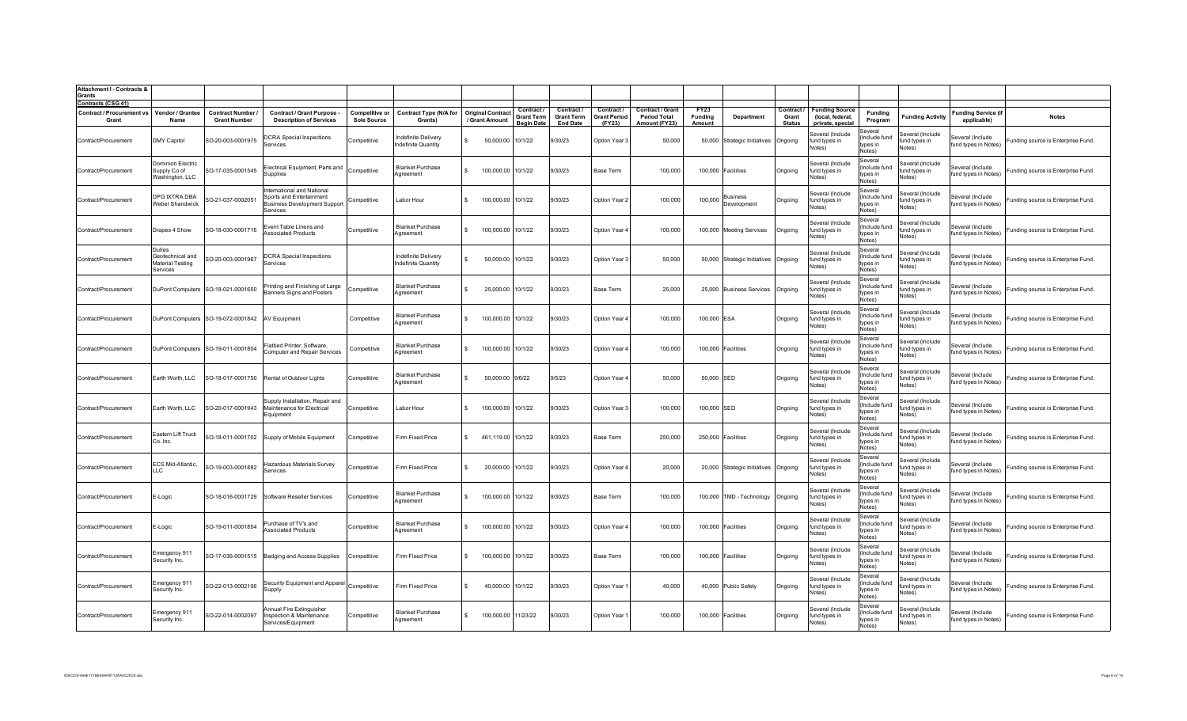| <b>Attachment I - Contracts &amp;</b><br>Grants     |                                                                   |                                               |                                                                                                          |                                      |                                            |                                            |                                 |                                      |                               |                                      |                          |                                      |                        |                                                    |                                                |                                             |                                           |                                    |
|-----------------------------------------------------|-------------------------------------------------------------------|-----------------------------------------------|----------------------------------------------------------------------------------------------------------|--------------------------------------|--------------------------------------------|--------------------------------------------|---------------------------------|--------------------------------------|-------------------------------|--------------------------------------|--------------------------|--------------------------------------|------------------------|----------------------------------------------------|------------------------------------------------|---------------------------------------------|-------------------------------------------|------------------------------------|
| Contracts (CSG 41)                                  |                                                                   |                                               |                                                                                                          |                                      |                                            |                                            | Contract /                      | Contract /                           | Contract/                     | Contract / Grant                     | <b>FY23</b>              |                                      | Contract /             | <b>Funding Source</b>                              |                                                |                                             |                                           |                                    |
| Contract / Procurement vs Vendor / Grantee<br>Grant | Name                                                              | <b>Contract Number</b><br><b>Grant Number</b> | Contract / Grant Purpose<br><b>Description of Services</b>                                               | Competitive or<br><b>Sole Source</b> | <b>Contract Type (N/A for</b><br>Grants)   | <b>Original Contract</b><br>/ Grant Amount | <b>Grant Term</b><br>Begin Date | <b>Grant Term</b><br><b>End Date</b> | <b>Grant Period</b><br>(FY23) | <b>Period Total</b><br>Amount (FY23) | <b>Funding</b><br>Amount | Department                           | Grant<br><b>Status</b> | (local, federal,<br>private, special               | <b>Funding</b><br>Program                      | <b>Funding Activity</b>                     | <b>Funding Service (if</b><br>applicable) | <b>Notes</b>                       |
| Contract/Procurement                                | <b>DMY Capitol</b>                                                | SO-20-003-0001975                             | <b>DCRA</b> Special Inspections<br>Services                                                              | Competitive                          | ndefinite Delivery<br>definite Quantity    | 50,000.00<br>-S                            | 10/1/22                         | 9/30/23                              | Option Year 3                 | 50,000                               |                          | 50,000 Strategic Initiatives Ongoing |                        | everal (Include<br>fund types in<br>Votes)         | Several<br>(Include fund<br>types in<br>Notes) | Several (Include<br>fund types in<br>Notes) | Several (Include<br>fund types in Notes)  | Funding source is Enterprise Fund. |
| Contract/Procurement                                | Dominion Electric<br>Supply Co of<br>Washington, LLC              | SO-17-035-0001545                             | Electrical Equipment, Parts and<br>Supplies                                                              | Competitive                          | <b>Blanket Purchase</b><br>Agreement       | 100,000.00<br>-S                           | 10/1/22                         | 9/30/23                              | Base Term                     | 100,000                              |                          | 100,000 Facilities                   | Ongoing                | Several (Include<br>fund types in<br><b>Notes)</b> | Several<br>(Include fund<br>types in<br>Notes) | Several (Include<br>fund types in<br>Notes) | Several (Include<br>fund types in Notes)  | Funding source is Enterprise Fund. |
| Contract/Procurement                                | DPG IXTRA DBA<br><b>Weber Shandwick</b>                           | SO-21-037-0002051                             | nternational and National<br>Sports and Entertainment<br><b>Business Development Support</b><br>Services | Competitive                          | Labor Hour                                 | 100,000.00<br>$\mathbf{S}$                 | 10/1/22                         | 9/30/23                              | Option Year 2                 | 100,000                              | 100,000                  | <b>Business</b><br>Development       | Ongoing                | Several (Include<br>fund types in<br>Notes)        | Several<br>(Include fund<br>tvpes in<br>Notes) | Several (Include<br>fund types in<br>votes) | Several (Include<br>fund types in Notes)  | Funding source is Enterprise Fund. |
| Contract/Procurement                                | Drapes 4 Show                                                     | SO-18-030-0001716                             | Event Table Linens and<br><b>Associated Products</b>                                                     | Competitive                          | <b>Blanket Purchase</b><br>Agreement       | 100,000.00<br>S.                           | 10/1/22                         | 9/30/23                              | Option Year 4                 | 100,000                              |                          | 100,000 Meeting Services             | Ongoing                | Several (Include<br>fund types in<br>Notes)        | Several<br>(Include fund<br>types in<br>Notes) | Several (Include<br>fund types in<br>Notes) | Several (Include<br>fund types in Notes)  | Funding source is Enterprise Fund. |
| Contract/Procurement                                | <b>Dulles</b><br>Geotechnical and<br>Material Testing<br>Services | SO-20-003-0001967                             | <b>DCRA Special Inspections</b><br>Services                                                              |                                      | Indefinite Delivery<br>Indefinite Quantity | 50,000.00<br>$\mathbf{s}$                  | 10/1/22                         | 9/30/23                              | Option Year 3                 | 50,000                               |                          | 50,000 Strategic Initiatives Ongoing |                        | Several (Include<br>fund types in<br>Notes)        | Several<br>(Include fund<br>tvpes in<br>Notes) | Several (Include<br>fund types in<br>Notes) | Several (Include<br>fund types in Notes)  | Funding source is Enterprise Fund. |
| Contract/Procurement                                |                                                                   | DuPont Computers SO-18-021-0001650            | Printing and Finishing of Large<br>Banners Signs and Posters                                             | Competitive                          | <b>Blanket Purchase</b><br>Aareement       | 25,000.00                                  | 10/1/22                         | 9/30/23                              | Base Term                     | 25,000                               |                          | 25,000 Business Services             | Ongoing                | Several (Include<br>fund types in<br>Notes)        | Several<br>(Include fund<br>tvpes in<br>Notes) | Several (Include<br>fund types in<br>Notes) | Several (Include<br>fund types in Notes)  | Funding source is Enterprise Fund. |
| Contract/Procurement                                |                                                                   | DuPont Computers SO-19-072-0001842            | <b>AV Equipment</b>                                                                                      | Competitive                          | Blanket Purchase<br>Aareement              | 100,000.00                                 | 10/1/22                         | 9/30/23                              | Option Year 4                 | 100.000                              | 100,000 ESA              |                                      | Ongoing                | Several (Include<br>fund types in<br>Notes)        | Several<br>(Include fund<br>tvnes in<br>Notes) | Several (Include<br>fund types in<br>Notes) | Several (Include<br>fund types in Notes)  | Funding source is Enterprise Fund. |
| Contract/Procurement                                |                                                                   | DuPont Computers SO-19-011-0001804            | Iatbed Printer, Software,<br><b>Computer and Repair Services</b>                                         | Competitive                          | <b>Blanket Purchase</b><br>Aareement       | 100,000.00                                 | 10/1/22                         | 9/30/23                              | Option Year 4                 | 100,000                              |                          | 100,000 Facilities                   | Ongoing                | Several (Include<br>fund types in<br>Notes)        | Several<br>Include fund<br>types in<br>Notes)  | Several (Include<br>fund types in<br>Notes) | everal (Include<br>fund types in Notes)   | Funding source is Enterprise Fund. |
| Contract/Procurement                                | Earth Worth, LLC                                                  | SO-18-017-0001750                             | Rental of Outdoor Lights                                                                                 | Competitive                          | <b>Blanket Purchase</b><br>Aareement       | 50,000.00                                  | 9/6/22                          | 9/5/23                               | Option Year                   | 50,000                               | 50,000 SED               |                                      | Ongoing                | Several (Include<br>fund types in<br>Notes)        | Several<br>Include fund<br>types in<br>Notes)  | Several (Include<br>fund types in<br>Notes) | everal (Include<br>fund types in Notes)   | Funding source is Enterprise Fund. |
| Contract/Procurement                                | Earth Worth, LLC                                                  | SO-20-017-0001943                             | Supply Installation, Repair and<br>Maintenance for Electrical<br>Equipment                               | Competitive                          | Labor Hour                                 | 100,000.00                                 | 10/1/22                         | 9/30/23                              | Option Year 3                 | 100,000                              | 100,000 SED              |                                      | Ongoing                | Several (Include<br>fund types in<br>Notes)        | Several<br>Include fund<br>types in<br>Notes)  | Several (Include<br>und types in<br>Notes)  | Several (Include<br>fund types in Notes)  | Funding source is Enterprise Fund. |
| Contract/Procurement                                | Eastern Lift Truck<br>Co. Inc.                                    | SO-18-011-0001702                             | Supply of Mobile Equipment                                                                               | Competitive                          | Firm Fixed Price                           | 461,119.00                                 | 10/1/22                         | 9/30/23                              | Base Term                     | 250,000                              |                          | 250,000 Facilities                   | Ongoing                | Several (Include<br>fund types in<br>Notes)        | Several<br>Include fund<br>types in<br>Notes)  | Several (Include<br>fund types in<br>Notes) | everal (Include<br>fund types in Notes)   | Funding source is Enterprise Fund. |
| Contract/Procurement                                | ECS Mid-Atlantic,<br>LLC                                          | SO-19-003-0001882                             | Hazardous Materials Survey<br><b>Services</b>                                                            | Competitive                          | Firm Fixed Price                           | 20,000.00<br>-S                            | 10/1/22                         | 9/30/23                              | Option Year 4                 | 20,000                               |                          | 20,000 Strategic Initiatives Ongoing |                        | Several (Include<br>fund types in<br>Votes)        | Several<br>Include fund<br>tvnes in<br>Notes)  | Several (Include<br>fund types in<br>Votes) | everal (Include<br>fund types in Notes)   | Funding source is Enterprise Fund. |
| Contract/Procurement                                | E-Logic                                                           | SO-18-016-0001729                             | Software Reseller Services                                                                               | Competitive                          | <b>Blanket Purchase</b><br>Aareement       | 100,000.00                                 | 10/1/22                         | 9/30/23                              | Base Term                     | 100,000                              |                          | 100,000 TMD - Technology             | Ongoing                | Several (Include<br>fund types in<br>Notes)        | Several<br>Include fund<br>tvpes in<br>Notes)  | everal (Include<br>fund types in<br>Notes)  | everal (Include<br>fund types in Notes)   | Funding source is Enterprise Fund. |
| Contract/Procurement                                | E-Logic                                                           | SO-19-011-0001854                             | Purchase of TV's and<br><b>Associated Products</b>                                                       | Competitive                          | <b>Blanket Purchase</b><br>Agreement       | 100,000.00                                 | 10/1/22                         | 9/30/23                              | Option Year 4                 | 100,000                              |                          | 100,000 Facilities                   | Ongoing                | Several (Include<br>fund types in<br>Notes)        | Several<br>(Include fund<br>types in<br>Notes) | Several (Include<br>fund types in<br>Notes) | Several (Include<br>fund types in Notes)  | Funding source is Enterprise Fund. |
| Contract/Procurement                                | Emergency 91 <sup>.</sup><br>Security Inc.                        |                                               | SO-17-036-0001515 Badging and Access Supplies                                                            | Competitive                          | Firm Fixed Price                           | 100,000.00<br>$\mathbf{s}$                 | 10/1/22                         | 9/30/23                              | Base Term                     | 100,000                              |                          | 100,000 Facilities                   | Ongoing                | Several (Include<br>fund types in<br>Notes)        | Several<br>(Include fund<br>types in<br>Notes) | ieveral (Include<br>fund types in<br>Notes) | Several (Include<br>fund types in Notes)  | Funding source is Enterprise Fund. |
| Contract/Procurement                                | Emergency 911<br>Security Inc.                                    | SO-22-013-0002106                             | Security Equipment and Apparel<br>Supply                                                                 | Competitive                          | Firm Fixed Price                           | 40,000.00<br>$\sim$                        | 10/1/22                         | 9/30/23                              | Option Year 1                 | 40,000                               |                          | 40,000 Public Safety                 | Ongoing                | Several (Include<br>fund types in<br>Notes)        | Several<br>(Include fund<br>tvnes in<br>Notes) | everal (Include<br>fund types in<br>Notes)  | Several (Include<br>fund types in Notes)  | Funding source is Enterprise Fund. |
| Contract/Procurement                                | Emergency 911<br>Security Inc.                                    | SO-22-014-0002097                             | Annual Fire Extinguisher<br>Inspection & Maintenance<br>Services/Equipment                               | Competitive                          | <b>Blanket Purchase</b><br>Aareement       | 100,000.00<br>$\mathbf{S}$                 | 11/23/22                        | 9/30/23                              | Option Year 1                 | 100,000                              |                          | 100,000 Facilities                   | Ongoing                | Several (Include<br>fund types in<br>Notes)        | Several<br>Include fund<br>types in<br>Notes)  | ieveral (Include<br>fund types in<br>Notes) | Several (Include<br>fund types in Notes)  | Funding source is Enterprise Fund. |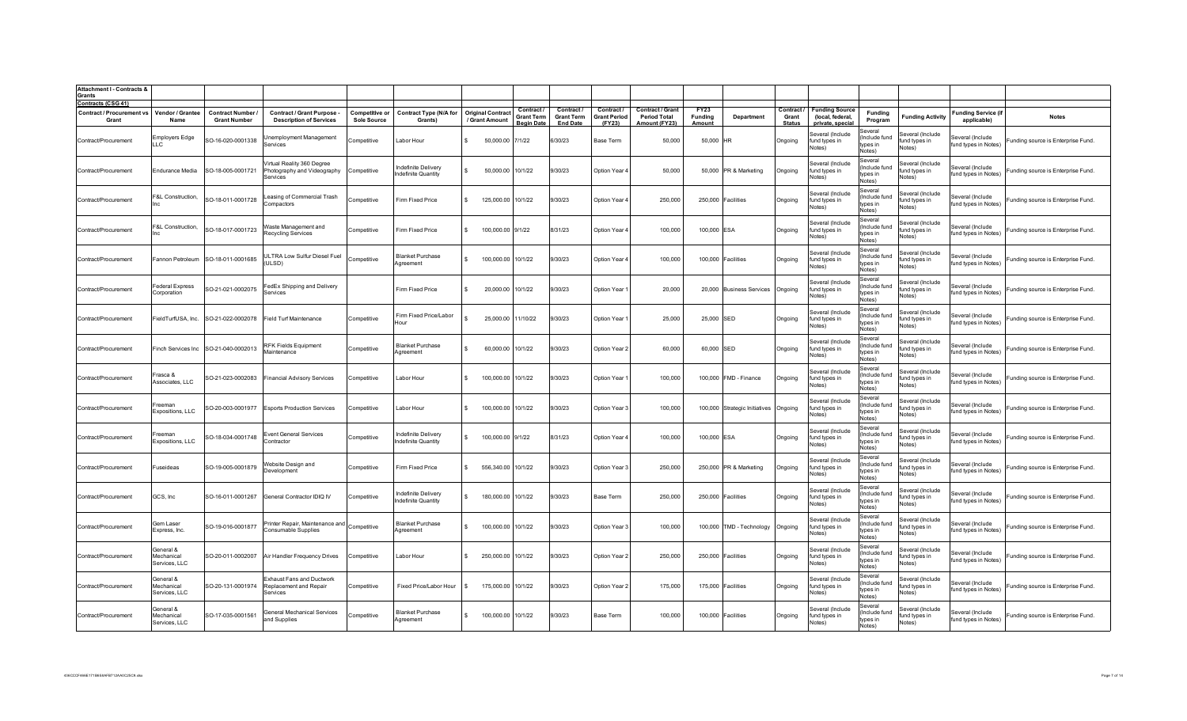| <b>Attachment I - Contracts &amp;</b><br>Grants                           |                                          |                                          |                                                                       |                                   |                                          |              |                                                            |                                      |                                        |                                                |                        |                                       |                          |                                                                 |                                                           |                                             |                                                         |                                    |
|---------------------------------------------------------------------------|------------------------------------------|------------------------------------------|-----------------------------------------------------------------------|-----------------------------------|------------------------------------------|--------------|------------------------------------------------------------|--------------------------------------|----------------------------------------|------------------------------------------------|------------------------|---------------------------------------|--------------------------|-----------------------------------------------------------------|-----------------------------------------------------------|---------------------------------------------|---------------------------------------------------------|------------------------------------|
| <b>Contracts (CSG 41)</b><br>Contract / Procurement vs   Vendor / Grantee |                                          | <b>Contract Number</b>                   | <b>Contract / Grant Purpose</b>                                       | <b>Competitive or</b>             | <b>Contract Type (N/A for</b>            |              | Contract<br><b>Original Contract</b><br><b>Grant Term</b>  | <b>Contract</b><br><b>Grant Term</b> | <b>Contract</b><br><b>Grant Period</b> | <b>Contract / Grant</b><br><b>Period Total</b> | FY23<br><b>Funding</b> | Department                            | Contract /<br>Grant      | <b>Funding Source</b><br>(local, federal,                       | Funding                                                   | <b>Funding Activity</b>                     | <b>Funding Service (if</b>                              | <b>Notes</b>                       |
| Grant<br>Contract/Procurement                                             | Name<br>Employers Edge<br>LLĊ            | <b>Grant Number</b><br>SO-16-020-0001338 | <b>Description of Services</b><br>Unemployment Management<br>Services | <b>Sole Source</b><br>Competitive | Grants)<br>Labor Hour                    | $\mathbf{S}$ | / Grant Amount<br><b>Begin Date</b><br>50,000.00<br>7/1/22 | <b>End Date</b><br>6/30/23           | (FY23)<br>Base Term                    | Amount (FY23)<br>50,000                        | Amount<br>50,000 HR    |                                       | <b>Status</b><br>Ongoing | private, special<br>Several (Include<br>fund types in<br>Notes) | Program<br>Several<br>(Include fund<br>tvpes in<br>Notes) | Several (Include<br>fund types in<br>Notes) | applicable)<br>Several (Include<br>fund types in Notes) | Funding source is Enterprise Fund. |
| Contract/Procurement                                                      | Endurance Media                          | SO-18-005-0001721                        | /irtual Reality 360 Degree<br>Photography and Videography<br>Services | Competitive                       | ndefinite Delivery<br>ndefinite Quantity | $\mathbf{s}$ | 50,000.00<br>10/1/22                                       | 9/30/23                              | Option Year 4                          | 50,000                                         |                        | 50,000 PR & Marketing                 | Ongoing                  | Several (Include<br>fund types in<br>Votes)                     | Several<br>(Include fund<br>tvnes in<br>Notes)            | Several (Include<br>fund types in<br>Notes) | Several (Include<br>fund types in Notes)                | Funding source is Enterprise Fund. |
| Contract/Procurement                                                      | F&L Construction,<br>Inc                 | SO-18-011-0001728                        | easing of Commercial Trash<br>Compactors                              | Competitive                       | Firm Fixed Price                         | $\mathbf{S}$ | 10/1/22<br>125,000.00                                      | 9/30/23                              | Option Year 4                          | 250,000                                        |                        | 250,000 Facilities                    | Ongoing                  | Several (Include<br>fund types in<br>Notes)                     | Several<br>(Include fund<br>types in<br>Notes)            | Several (Include<br>fund types in<br>Votes) | Several (Include<br>fund types in Notes)                | Funding source is Enterprise Fund. |
| Contract/Procurement                                                      | &L Construction,                         | SO-18-017-0001723                        | Waste Management and<br>Recycling Services                            | Competitive                       | Firm Fixed Price                         |              | 100,000.00<br>9/1/22                                       | 8/31/23                              | Option Year                            | 100,000                                        | 100,000 ESA            |                                       | Ongoing                  | Several (Include<br>fund types in<br>Notes)                     | Several<br>(Include fund<br>types in<br>Notes)            | Several (Include<br>fund types in<br>Notes) | Several (Include<br>fund types in Notes)                | Funding source is Enterprise Fund. |
| Contract/Procurement                                                      |                                          | annon Petroleum SO-18-011-0001685        | ULTRA Low Sulfur Diesel Fuel<br>ULSD)                                 | Competitive                       | <b>Blanket Purchase</b><br>Agreement     | -S           | 100,000.00<br>10/1/22                                      | 9/30/23                              | Option Year 4                          | 100,000                                        |                        | 100,000 Facilities                    | Ongoing                  | Several (Include<br>fund types in<br>Notes)                     | Several<br>(Include fund<br>types in<br>Notes)            | Several (Include<br>fund types in<br>Notes) | Several (Include<br>fund types in Notes)                | Funding source is Enterprise Fund. |
| Contract/Procurement                                                      | ederal Express<br>Corporation            | SO-21-021-0002075                        | FedEx Shipping and Delivery<br>Services                               |                                   | Firm Fixed Price                         | $\mathbf{R}$ | 20,000.00<br>10/1/22                                       | 9/30/23                              | Option Year                            | 20,000                                         |                        | 20,000 Business Services              | Ongoing                  | Several (Include<br>fund types in<br>Notes)                     | Several<br>(Include fund<br>tvpes in<br>Notes)            | Several (Include<br>fund types in<br>Notes) | Several (Include<br>fund types in Notes)                | Funding source is Enterprise Fund. |
| Contract/Procurement                                                      |                                          | FieldTurfUSA, Inc. SO-21-022-0002078     | Field Turf Maintenance                                                | Competitive                       | Firm Fixed Price/Labor<br>Hour           |              | 25,000.00<br>11/10/22                                      | 9/30/23                              | Option Year                            | 25,000                                         | 25,000 SED             |                                       | Ongoing                  | Several (Include<br>fund types in<br>Notes)                     | Several<br>Include fund<br>tvoes in<br>Notes)             | Several (Include<br>fund types in<br>Votes) | everal (Include<br>fund types in Notes)                 | Funding source is Enterprise Fund. |
| Contract/Procurement                                                      |                                          | Finch Services Inc SO-21-040-0002013     | RFK Fields Equipment<br>Maintenance                                   | Competitive                       | Blanket Purchase<br>Aareement            |              | 60,000.00<br>10/1/22                                       | 9/30/23                              | Option Year 2                          | 60,000                                         | 60,000 SED             |                                       | Ongoing                  | Several (Include<br>fund types in<br>Notes)                     | Several<br>Include fund<br>types in<br>Notes)             | Several (Include<br>fund types in<br>Notes) | everal (Include<br>fund types in Notes)                 | Funding source is Enterprise Fund. |
| Contract/Procurement                                                      | Frasca &<br>Associates, LLC              | SO-21-023-0002083                        | <b>Financial Advisory Services</b>                                    | Competitive                       | Labor Hour                               |              | 100,000.00<br>10/1/22                                      | 9/30/23                              | Option Year                            | 100,000                                        |                        | 100,000 FMD - Finance                 | Ongoing                  | Several (Include<br>fund types in<br>Notes)                     | Several<br>Include fund<br>ypes in<br>Notes)              | Several (Include<br>fund types in<br>Notes) | everal (Include<br>fund types in Notes)                 | unding source is Enterprise Fund.  |
| Contract/Procurement                                                      | reeman<br>Expositions, LLC               | SO-20-003-0001977                        | <b>Esports Production Services</b>                                    | Competitive                       | Labor Hour                               |              | 100,000.00<br>10/1/22                                      | 9/30/23                              | Option Year 3                          | 100,000                                        |                        | 100,000 Strategic Initiatives Ongoing |                          | Several (Include<br>fund types in<br>Notes)                     | Several<br>Include fund<br>types in<br>Notes)             | Several (Include<br>fund types in<br>Notes) | Several (Include<br>fund types in Notes)                | Funding source is Enterprise Fund. |
| Contract/Procurement                                                      | reeman<br>Expositions, LLC               | SO-18-034-0001748                        | <b>Event General Services</b><br>Contractor                           | Competitive                       | ndefinite Delivery<br>ndefinite Quantity |              | 100,000.00 9/1/22                                          | 8/31/23                              | Option Year 4                          | 100,000                                        | 100,000 ESA            |                                       | Ongoing                  | Several (Include<br>fund types in<br>Notes)                     | Several<br>(Include fund<br>tvnes in<br>Notes)            | Several (Include<br>fund types in<br>Notes) | Several (Include<br>fund types in Notes)                | Funding source is Enterprise Fund. |
| Contract/Procurement                                                      | Fuseideas                                | SO-19-005-0001879                        | Website Design and<br>Development                                     | Competitive                       | Firm Fixed Price                         |              | 556,340.00<br>10/1/22                                      | 9/30/23                              | Option Year 3                          | 250,000                                        |                        | 250,000 PR & Marketing                | Ongoing                  | Several (Include<br>fund types in<br>Votes)                     | Several<br>Include fund<br>tvpes in<br>Notes)             | everal (Include<br>fund types in<br>Votes)  | everal (Include<br>fund types in Notes)                 | Funding source is Enterprise Fund. |
| Contract/Procurement                                                      | GCS, Inc.                                | SO-16-011-0001267                        | General Contractor IDIQ IV                                            | Competitive                       | ndefinite Delivery<br>ndefinite Quantity |              | 10/1/22<br>180,000.00                                      | 9/30/23                              | Base Term                              | 250,000                                        |                        | 250,000 Facilities                    | Ongoing                  | Several (Include<br>fund types in<br>Notes)                     | Several<br>Include fund<br>tvpes in<br>Notes)             | everal (Include<br>fund types in<br>Notes)  | everal (Include<br>fund types in Notes)                 | Funding source is Enterprise Fund. |
| Contract/Procurement                                                      | Gem Laser<br>Express, Inc.               | SO-19-016-0001877                        | Printer Repair, Maintenance and<br>Consumable Supplies                | Competitive                       | <b>Blanket Purchase</b><br>Agreement     |              | 10/1/22<br>100,000.00                                      | 9/30/23                              | Option Year 3                          | 100,000                                        |                        | 100,000 TMD - Technology              | Ongoing                  | Several (Include<br>fund types in<br>Notes)                     | Several<br>(Include fund<br>types in<br>Notes)            | Several (Include<br>fund types in<br>Notes) | Several (Include<br>fund types in Notes)                | Funding source is Enterprise Fund. |
| Contract/Procurement                                                      | General &<br>Mechanical<br>Services, LLC | SO-20-011-0002007                        | Air Handler Frequency Drives                                          | Competitive                       | Labor Hour                               | -S           | 250,000.00<br>10/1/22                                      | 9/30/23                              | Option Year 2                          | 250,000                                        |                        | 250,000 Facilities                    | Ongoing                  | Several (Include<br>fund types in<br>Notes)                     | Several<br>(Include fund<br>types in<br>Notes)            | ieveral (Include<br>fund types in<br>Notes) | Several (Include<br>fund types in Notes)                | Funding source is Enterprise Fund. |
| Contract/Procurement                                                      | General &<br>Mechanical<br>Services, LLC | SO-20-131-0001974                        | Exhaust Fans and Ductwork<br>Replacement and Repair<br>Services       | Competitive                       | Fixed Price/Labor Hour                   |              | 175,000.00<br>10/1/22                                      | 9/30/23                              | Option Year 2                          | 175,000                                        |                        | 175,000 Facilities                    | Ongoing                  | Several (Include<br>fund types in<br>Notes)                     | Several<br>(Include fund<br>tvnes in<br>Notes)            | everal (Include<br>fund types in<br>Notes)  | Several (Include<br>fund types in Notes)                | Funding source is Enterprise Fund. |
| Contract/Procurement                                                      | General &<br>Mechanical<br>Services, LLC | SO-17-035-0001561                        | General Mechanical Services<br>and Supplies                           | Competitive                       | <b>Blanket Purchase</b><br>Aareement     | $\mathbf{S}$ | 100,000.00 10/1/22                                         | 9/30/23                              | Base Term                              | 100,000                                        |                        | 100,000 Facilities                    | Ongoing                  | Several (Include<br>fund types in<br>Notes)                     | Several<br>Include fund<br>types in<br>Notes)             | ieveral (Include<br>fund types in<br>Notes) | Several (Include<br>fund types in Notes)                | Funding source is Enterprise Fund. |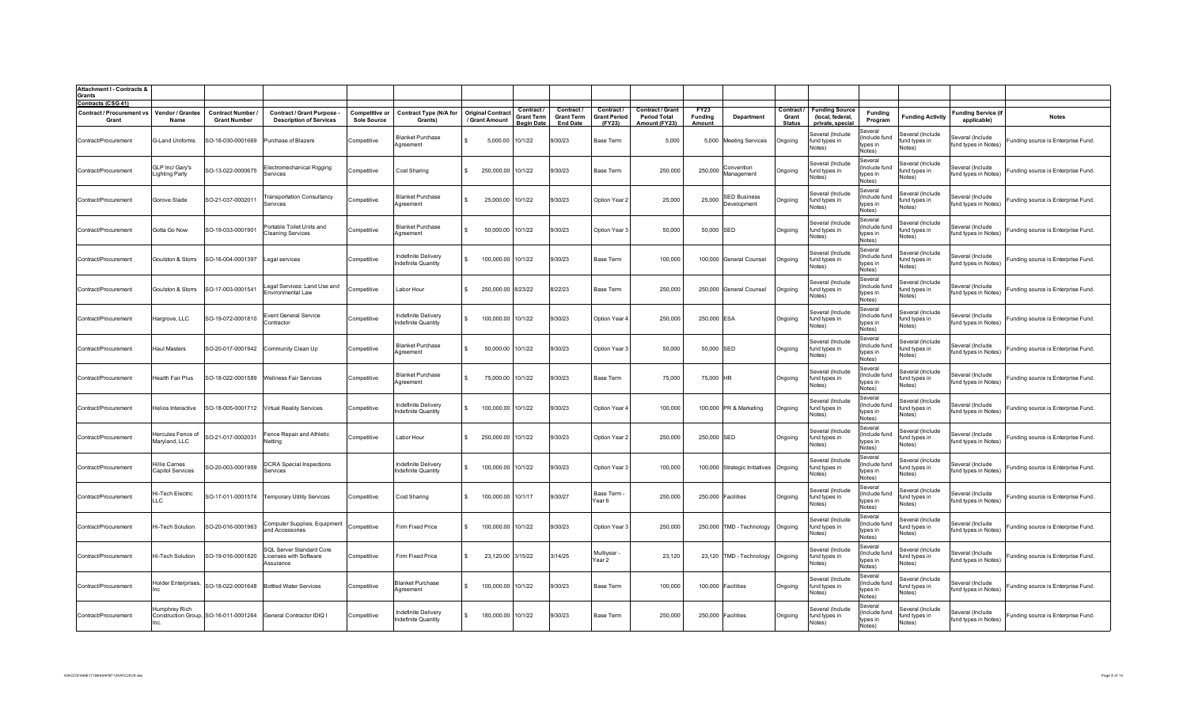| <b>Attachment I - Contracts &amp;</b><br>Grants                        |                                    |                                               |                                                                     |                                             |                                                   |                                            |                                                      |                                                  |                                             |                                                                 |                           |                                    |                                      |                                                               |                                                |                                             |                                           |                                    |
|------------------------------------------------------------------------|------------------------------------|-----------------------------------------------|---------------------------------------------------------------------|---------------------------------------------|---------------------------------------------------|--------------------------------------------|------------------------------------------------------|--------------------------------------------------|---------------------------------------------|-----------------------------------------------------------------|---------------------------|------------------------------------|--------------------------------------|---------------------------------------------------------------|------------------------------------------------|---------------------------------------------|-------------------------------------------|------------------------------------|
| <b>Contracts (CSG 41)</b><br><b>Contract / Procurement vs</b><br>Grant | Vendor / Grantee<br>Name           | <b>Contract Number</b><br><b>Grant Number</b> | <b>Contract / Grant Purpose -</b><br><b>Description of Services</b> | <b>Competitive or</b><br><b>Sole Source</b> | <b>Contract Type (N/A for</b><br>Grants)          | <b>Original Contract</b><br>/ Grant Amount | Contract /<br><b>Grant Term</b><br><b>Beain Date</b> | Contract<br><b>Grant Term</b><br><b>End Date</b> | Contract /<br><b>Grant Period</b><br>(FY23) | <b>Contract / Grant</b><br><b>Period Total</b><br>Amount (FY23) | FY23<br>Funding<br>Amount | Department                         | Contract /<br>Grant<br><b>Status</b> | <b>Funding Source</b><br>(local, federal,<br>private, special | Funding<br>Program                             | <b>Funding Activity</b>                     | <b>Funding Service (if</b><br>applicable) | <b>Notes</b>                       |
| Contract/Procurement                                                   | G-Land Uniforms                    | SO-18-030-0001669                             | Purchase of Blazers                                                 | Competitive                                 | <b>Blanket Purchase</b><br>Agreement              | 5,000.00 10/1/22                           |                                                      | 9/30/23                                          | Base Term                                   | 5,000                                                           |                           | 5,000 Meeting Services             | Ongoing                              | Several (Include<br>fund types in<br>Notes)                   | Several<br>(Include fund<br>types in<br>Notes) | Several (Include<br>fund types in<br>Notes) | Several (Include<br>fund types in Notes)  | Funding source is Enterprise Fund. |
| Contract/Procurement                                                   | GLP Inc/ Gary's<br>Lighting Party  | SO-13-022-0000675                             | Electromechanical Rigging<br>Services                               | Competitive                                 | Cost Sharing                                      | 250,000.00 10/1/22<br>$\mathbf{S}$         |                                                      | 9/30/23                                          | Base Term                                   | 250,000                                                         | 250,000                   | Convention<br>Management           | Ongoing                              | Several (Include<br>fund types in<br>Notes)                   | Several<br>(Include fund<br>tvpes in<br>Notes) | Several (Include<br>fund types in<br>Notes) | Several (Include<br>fund types in Notes)  | Funding source is Enterprise Fund. |
| Contract/Procurement                                                   | Gorove Slade                       | SO-21-037-0002011                             | <b>Transportation Consultancy</b><br>Services                       | Competitive                                 | <b>Blanket Purchase</b><br>Agreement              | 25,000.00 10/1/22<br>$\mathbf{S}$          |                                                      | 9/30/23                                          | Option Year 2                               | 25,000                                                          | 25,000                    | <b>SED Business</b><br>Development | Ongoing                              | Several (Include<br>fund types in<br>Notes)                   | Several<br>(Include fund<br>types in<br>Notes) | Several (Include<br>fund types in<br>Notes) | Several (Include<br>fund types in Notes)  | Funding source is Enterprise Fund. |
| Contract/Procurement                                                   | Gotta Go Now                       | SO-19-033-0001901                             | Portable Toilet Units and<br><b>Cleaning Services</b>               | Competitive                                 | <b>Blanket Purchase</b><br>Agreement              | 50,000.00                                  | 10/1/22                                              | 9/30/23                                          | Option Year 3                               | 50,000                                                          | 50,000 SED                |                                    | Ongoing                              | Several (Include<br>fund types in<br>Notes)                   | Several<br>(Include fund<br>types in<br>Notes) | Several (Include<br>fund types in<br>Notes) | Several (Include<br>fund types in Notes)  | Funding source is Enterprise Fund. |
| Contract/Procurement                                                   | Goulston & Storrs                  | SO-16-004-0001397                             | Legal services                                                      | Competitive                                 | Indefinite Delivery<br>ndefinite Quantity         | 100,000.00 10/1/22<br>-S                   |                                                      | 9/30/23                                          | Base Term                                   | 100,000                                                         |                           | 100,000 General Counsel            | Ongoing                              | Several (Include<br>fund types in<br>Notes)                   | Several<br>(Include fund<br>types in<br>Notes) | Several (Include<br>fund types in<br>Notes) | Several (Include<br>fund types in Notes)  | Funding source is Enterprise Fund. |
| Contract/Procurement                                                   | Goulston & Storrs                  | SO-17-003-0001541                             | egal Services: Land Use and<br>Environmental Law                    | Competitive                                 | Labor Hour                                        | 250,000.00 8/23/22                         |                                                      | 8/22/23                                          | Base Term                                   | 250,000                                                         |                           | 250,000 General Counsel            | Ongoing                              | Several (Include<br>fund types in<br>Notes)                   | Several<br>(Include fund<br>tvpes in<br>Notes) | Several (Include<br>fund types in<br>Notes) | Several (Include<br>fund types in Notes)  | Funding source is Enterprise Fund. |
| Contract/Procurement                                                   | Hargrove, LLC                      | SO-19-072-0001810                             | <b>Event General Service</b><br>Contractor                          | Competitive                                 | Indefinite Delivery<br><b>Indefinite Quantity</b> | 100,000.00 10/1/22<br>S.                   |                                                      | 9/30/23                                          | Option Year 4                               | 250,000                                                         | 250,000 ESA               |                                    | Ongoing                              | Several (Include<br>fund types in<br>Notes)                   | Several<br>(Include fund<br>types in<br>Notes) | Several (Include<br>fund types in<br>Notes) | several (Include<br>fund types in Notes)  | Funding source is Enterprise Fund. |
| Contract/Procurement                                                   | <b>Haul Masters</b>                |                                               | SO-20-017-0001942 Community Clean Up                                | Competitive                                 | <b>Blanket Purchase</b><br>Agreement              | 50,000.00<br>$\mathbf{S}$                  | 10/1/22                                              | 9/30/23                                          | Option Year 3                               | 50,000                                                          | 50,000 SED                |                                    | Ongoing                              | Several (Include<br>fund types in<br>Notes)                   | Several<br>Include fund<br>types in<br>Notes)  | Several (Include<br>fund types in<br>Notes) | everal (Include<br>fund types in Notes)   | Funding source is Enterprise Fund. |
| Contract/Procurement                                                   | Health Fair Plus                   | SO-18-022-0001589                             | <b>Wellness Fair Services</b>                                       | Competitive                                 | Blanket Purchase<br>Agreement                     | 75,000.00                                  | 10/1/22                                              | 9/30/23                                          | Base Term                                   | 75,000                                                          | 75,000 HR                 |                                    | Ongoing                              | Several (Include<br>und types in<br>Notes)                    | Several<br>Include fund<br>types in<br>Notes)  | Several (Include<br>fund types in<br>Notes) | everal (Include<br>fund types in Notes)   | Funding source is Enterprise Fund. |
| Contract/Procurement                                                   | Helios Interactive                 |                                               | SO-18-005-0001712 Virtual Reality Services                          | Competitive                                 | Indefinite Delivery<br>ndefinite Quantity         | 100,000.00 10/1/22                         |                                                      | 9/30/23                                          | Option Year                                 | 100,000                                                         |                           | 100,000 PR & Marketing             | Ongoing                              | Several (Include<br>fund types in<br>Notes)                   | Several<br>(Include fund<br>types in<br>Notes) | Several (Include<br>fund types in<br>Notes) | Several (Include<br>fund types in Notes)  | Funding source is Enterprise Fund. |
| Contract/Procurement                                                   | Hercules Fence of<br>Maryland, LLC | SO-21-017-0002031                             | Fence Repair and Athletic<br>Nettina                                | Competitive                                 | Labor Hour                                        | 250,000.00 10/1/22                         |                                                      | 9/30/23                                          | Option Year 2                               | 250,000                                                         | 250,000 SED               |                                    | Ongoing                              | Several (Include<br>fund types in<br>Notes)                   | Several<br>(Include fund<br>tvnes in<br>Notes) | Several (Include<br>fund types in<br>Notes) | Several (Include<br>fund types in Notes)  | Funding source is Enterprise Fund. |
| Contract/Procurement                                                   | Hillis Carnes<br>Capitol Services  | SO-20-003-0001959                             | <b>DCRA</b> Special Inspections<br>Services                         |                                             | Indefinite Delivery<br>Indefinite Quantity        | 100,000.00 10/1/22<br>$\mathcal{L}$        |                                                      | 9/30/23                                          | Option Year 3                               | 100,000                                                         |                           | 100,000 Strategic Initiatives      | Ongoing                              | Several (Include<br>fund types in<br>Notes)                   | Several<br>(Include fund<br>tvpes in<br>Notes) | Several (Include<br>fund types in<br>Notes) | everal (Include<br>fund types in Notes)   | Funding source is Enterprise Fund. |
| Contract/Procurement                                                   | Hi-Tech Electric<br>LLC.           | SO-17-011-0001574                             | <b>Temporary Utility Services</b>                                   | Competitive                                 | Cost Sharing                                      | 100,000.00 10/1/17                         |                                                      | 9/30/27                                          | Base Term -<br>Year 6                       | 250,000                                                         |                           | 250,000 Facilities                 | Ongoing                              | Several (Include<br>fund types in<br>Notes)                   | Several<br>(Include fund<br>types in<br>Notes) | Several (Include<br>fund types in<br>Notes) | Several (Include<br>fund types in Notes)  | Funding source is Enterprise Fund. |
| Contract/Procurement                                                   | Hi-Tech Solution                   | SO-20-016-0001963                             | Computer Supplies, Equipment<br>and Accessories                     | Competitive                                 | Firm Fixed Price                                  | 100,000.00 10/1/22<br>\$.                  |                                                      | 9/30/23                                          | Option Year 3                               | 250,000                                                         |                           | 250,000 TMD - Technology           | Ongoing                              | Several (Include<br>fund types in<br>Notes)                   | Several<br>(Include fund<br>types in<br>Notes) | Several (Include<br>fund types in<br>Notes) | Several (Include<br>fund types in Notes)  | Funding source is Enterprise Fund. |
| Contract/Procurement                                                   | Hi-Tech Solution                   | SO-19-016-0001820                             | SQL Server Standard Core<br>Licenses with Software<br>Assurance     | Competitive                                 | Firm Fixed Price                                  | 23,120.00 3/15/22<br>\$.                   |                                                      | 3/14/25                                          | Multiyear -<br>Year 2                       | 23,120                                                          |                           | 23,120 TMD - Technology            | Ongoing                              | Several (Include<br>fund types in<br>Notes)                   | Several<br>(Include fund<br>types in<br>Notes) | ieveral (Include<br>fund types in<br>Notes) | Several (Include<br>fund types in Notes)  | Funding source is Enterprise Fund. |
| Contract/Procurement                                                   | Holder Enterprises,                |                                               | SO-18-022-0001648 Bottled Water Services                            | Competitive                                 | <b>Blanket Purchase</b><br>Agreement              | 100,000.00 10/1/22<br>$\mathbf{S}$         |                                                      | 9/30/23                                          | Base Term                                   | 100,000                                                         |                           | 100,000 Facilities                 | Ongoing                              | Several (Include<br>fund types in<br>Notes)                   | Several<br>(Include fund<br>tvnes in<br>Notes) | everal (Include<br>fund types in<br>Notes)  | Several (Include<br>fund types in Notes)  | Funding source is Enterprise Fund. |
| Contract/Procurement                                                   | Humphrev Rich                      |                                               | Construction Group, SO-16-011-0001264 General Contractor IDIQ I     | Competitive                                 | Indefinite Delivery<br>Indefinite Quantity        | 180,000.00 10/1/22<br>$\mathbf{S}$         |                                                      | 9/30/23                                          | Base Term                                   | 250,000                                                         |                           | 250,000 Facilities                 | Ongoing                              | Several (Include<br>fund types in<br>Notes)                   | Several<br>(Include fund<br>types in<br>Notes) | ieveral (Include<br>fund types in<br>Notes) | Several (Include<br>fund types in Notes)  | Funding source is Enterprise Fund. |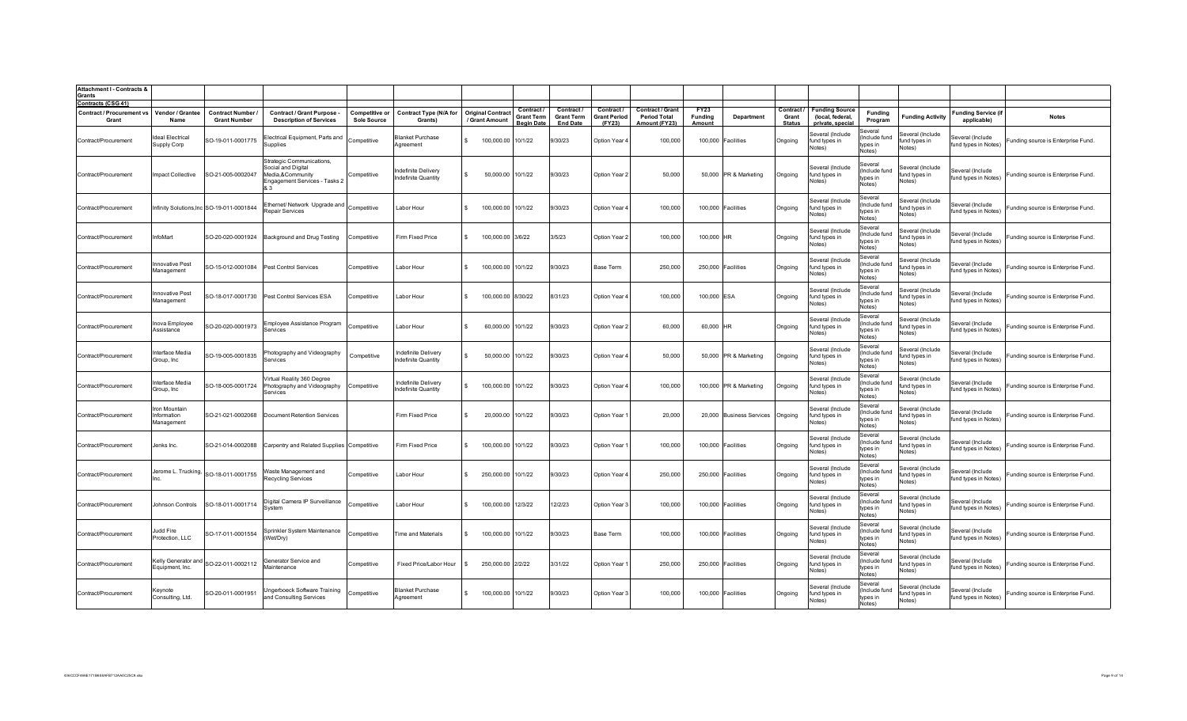| <b>Attachment I - Contracts &amp;</b>                           |                                          |                                               |                                                                                                      |                                      |                                          |              |                                            |                                                      |                                                   |                                             |                                                          |                                         |                          |                                      |                                                               |                                                |                                             |                                           |                                    |
|-----------------------------------------------------------------|------------------------------------------|-----------------------------------------------|------------------------------------------------------------------------------------------------------|--------------------------------------|------------------------------------------|--------------|--------------------------------------------|------------------------------------------------------|---------------------------------------------------|---------------------------------------------|----------------------------------------------------------|-----------------------------------------|--------------------------|--------------------------------------|---------------------------------------------------------------|------------------------------------------------|---------------------------------------------|-------------------------------------------|------------------------------------|
| Grants                                                          |                                          |                                               |                                                                                                      |                                      |                                          |              |                                            |                                                      |                                                   |                                             |                                                          |                                         |                          |                                      |                                                               |                                                |                                             |                                           |                                    |
| Contracts (CSG 41)<br><b>Contract / Procurement vs</b><br>Grant | Vendor / Grantee<br>Name                 | <b>Contract Number</b><br><b>Grant Number</b> | Contract / Grant Purpose -<br><b>Description of Services</b>                                         | Competitive or<br><b>Sole Source</b> | <b>Contract Type (N/A for</b><br>Grants) |              | <b>Original Contract</b><br>/ Grant Amount | Contract /<br><b>Grant Term</b><br><b>Beain Date</b> | Contract/<br><b>Grant Term</b><br><b>End Date</b> | Contract /<br><b>Grant Period</b><br>(FY23) | Contract / Grant<br><b>Period Total</b><br>Amount (FY23) | <b>FY23</b><br><b>Funding</b><br>Amount | <b>Department</b>        | Contract /<br>Grant<br><b>Status</b> | <b>Funding Source</b><br>(local, federal,<br>private, special | <b>Funding</b><br>Program                      | <b>Funding Activity</b>                     | <b>Funding Service (if</b><br>applicable) | <b>Notes</b>                       |
| Contract/Procurement                                            | deal Electrical<br>Supply Corp           | SO-19-011-0001775                             | Electrical Equipment, Parts and<br>Supplies                                                          | Competitive                          | <b>Blanket Purchase</b><br>Agreement     |              | 100,000.00                                 | 10/1/22                                              | 9/30/23                                           | Option Year 4                               | 100,000                                                  |                                         | 100,000 Facilities       | Ongoing                              | Several (Include<br>fund types in<br>Notes)                   | Several<br>Include fund<br>types in<br>Notes)  | Several (Include<br>fund types in<br>Notes) | everal (Include<br>fund types in Notes)   | unding source is Enterprise Fund.  |
| Contract/Procurement                                            | Impact Collective                        | SO-21-005-0002047                             | Strategic Communications,<br>Social and Digital<br>Media,&Community<br>Engagement Services - Tasks 2 | Competitive                          | ndefinite Delivery<br>ndefinite Quantity | $\mathbf{s}$ | 50,000.00                                  | 10/1/22                                              | 9/30/23                                           | Option Year 2                               | 50,000                                                   |                                         | 50,000 PR & Marketing    | Ongoing                              | Several (Include<br>fund types in<br>Notes)                   | Several<br>Include fund<br>tvpes in<br>Notes)  | Several (Include<br>fund types in<br>Notes) | Several (Include<br>fund types in Notes)  | Funding source is Enterprise Fund. |
| Contract/Procurement                                            |                                          | Infinity Solutions, Inc SO-19-011-0001844     | Ethernet/ Network Upgrade and<br>Repair Services                                                     | Competitive                          | Labor Hour                               | $\mathbf{S}$ | 100,000.00                                 | 10/1/22                                              | 9/30/23                                           | Option Year 4                               | 100,000                                                  |                                         | 100,000 Facilities       | Ongoing                              | Several (Include<br>fund types in<br>Notes)                   | Several<br>Include fund<br>types in<br>Notes)  | Several (Include<br>fund types in<br>Notes) | Several (Include<br>fund types in Notes)  | Funding source is Enterprise Fund. |
| Contract/Procurement                                            | InfoMart                                 | SO-20-020-0001924                             | Background and Drug Testing                                                                          | Competitive                          | Firm Fixed Price                         | l s          | 100,000.00 3/6/22                          |                                                      | 3/5/23                                            | Option Year 2                               | 100,000                                                  | 100,000 HR                              |                          | Ongoing                              | Several (Include<br>fund types in<br>Notes)                   | Several<br>Include fund<br>tvpes in<br>Notes)  | Several (Include<br>fund types in<br>Notes) | Several (Include<br>fund types in Notes)  | Funding source is Enterprise Fund. |
| Contract/Procurement                                            | nnovative Pest<br>Management             | SO-15-012-0001084                             | Pest Control Services                                                                                | Competitive                          | Labor Hour                               |              | 100,000.00                                 | 10/1/22                                              | 9/30/23                                           | Base Term                                   | 250,000                                                  |                                         | 250,000 Facilities       | Ongoing                              | Several (Include<br>fund types in<br>Notes)                   | Several<br>Include fund<br>types in<br>Notes)  | Several (Include<br>fund types in<br>Notes) | Several (Include<br>fund types in Notes)  | unding source is Enterprise Fund.  |
| Contract/Procurement                                            | nnovative Pest<br>Management             | SO-18-017-0001730                             | Pest Control Services ESA                                                                            | Competitive                          | Labor Hour                               | -S.          | 100,000.00 8/30/22                         |                                                      | 8/31/23                                           | Option Year 4                               | 100,000                                                  | 100,000 ESA                             |                          | Ongoing                              | Several (Include<br>fund types in<br>Votes)                   | Several<br>(Include fund<br>types in<br>Notes) | Several (Include<br>fund types in<br>Notes) | Several (Include<br>fund types in Notes)  | Funding source is Enterprise Fund. |
| Contract/Procurement                                            | nova Employee<br>Assistance              | SO-20-020-0001973                             | Employee Assistance Program<br>Services                                                              | Competitive                          | Labor Hour                               | <b>S</b>     | 60.000.00                                  | 10/1/22                                              | 9/30/23                                           | Option Year 2                               | 60,000                                                   | 60,000 HR                               |                          | Ongoing                              | Several (Include<br>fund types in<br>Notes)                   | Several<br>(Include fund<br>tynes in<br>Notes) | Several (Include<br>fund types in<br>Notes) | Several (Include<br>fund types in Notes)  | Funding source is Enterprise Fund. |
| Contract/Procurement                                            | nterface Media<br>Group, Inc             | SO-19-005-0001835                             | Photography and Videography<br>Services                                                              | Competitive                          | ndefinite Delivery<br>definite Quantity  | $\mathbf{s}$ | 50,000.00                                  | 10/1/22                                              | 9/30/23                                           | Option Year 4                               | 50,000                                                   |                                         | 50,000 PR & Marketing    | Ongoing                              | Several (Include<br>und types in<br>Votes)                    | Several<br>(Include fund<br>types in<br>Notes) | several (Include<br>und types in<br>Notes)  | Several (Include<br>fund types in Notes)  | Funding source is Enterprise Fund. |
| Contract/Procurement                                            | Interface Media<br>Group, Inc            | SO-18-005-0001724                             | /irtual Reality 360 Degree<br>Photography and Videography<br>Services                                | Competitive                          | ndefinite Deliverv<br>ndefinite Quantity | $\mathbf{s}$ | 100,000.00                                 | 10/1/22                                              | 9/30/23                                           | Option Year 4                               | 100,000                                                  |                                         | 100,000 PR & Marketing   | Ongoing                              | Several (Include<br>fund types in<br>Notes)                   | Several<br>(Include fund<br>types in<br>Notes) | Several (Include<br>fund types in<br>Notes) | Several (Include<br>fund types in Notes)  | Funding source is Enterprise Fund. |
| Contract/Procurement                                            | ron Mountain<br>nformation<br>Management | SO-21-021-0002068                             | Document Retention Services                                                                          |                                      | Firm Fixed Price                         |              | 20,000.00                                  | 10/1/22                                              | 9/30/23                                           | Option Year                                 | 20,000                                                   |                                         | 20,000 Business Services | Ongoing                              | Several (Include<br>und types in<br>Notes)                    | Several<br>Include fund<br>types in<br>Notes)  | Several (Include<br>fund types in<br>Notes) | Several (Include<br>fund types in Notes)  | Funding source is Enterprise Fund. |
| Contract/Procurement                                            | Jenks Inc.                               | SO-21-014-0002088                             | Carpentry and Related Supplies                                                                       | Competitive                          | Firm Fixed Price                         | l \$         | 100,000.00                                 | 10/1/22                                              | 9/30/23                                           | Option Year                                 | 100,000                                                  |                                         | 100,000 Facilities       | Ongoing                              | Several (Include<br>fund types in<br>Notes)                   | Several<br>(Include fund<br>types in<br>Notes) | Several (Include<br>fund types in<br>Notes) | Several (Include<br>fund types in Notes)  | Funding source is Enterprise Fund. |
| Contract/Procurement                                            |                                          | Jerome L. Trucking, SO-18-011-0001755         | Waste Management and<br>Recycling Services                                                           | Competitive                          | Labor Hour                               | $\mathbf{R}$ | 250,000.00                                 | 10/1/22                                              | 9/30/23                                           | Option Year 4                               | 250,000                                                  |                                         | 250,000 Facilities       | Ongoing                              | Several (Include<br>fund types in<br>Notes)                   | Several<br>Include fund<br>types in<br>Notes)  | Several (Include<br>fund types in<br>Notes) | Several (Include<br>fund types in Notes)  | Funding source is Enterprise Fund. |
| Contract/Procurement                                            | Johnson Controls                         | SO-18-011-0001714                             | Digital Camera IP Surveillance<br>System                                                             | Competitive                          | Labor Hour                               | <b>S</b>     | 100,000.00                                 | 12/3/22                                              | 12/2/23                                           | Option Year 3                               | 100,000                                                  |                                         | 100,000 Facilities       | Ongoing                              | Several (Include<br>fund types in<br>Notes)                   | Several<br>(Include fund<br>types in<br>Notes) | Several (Include<br>fund types in<br>Notes) | Several (Include<br>fund types in Notes)  | Funding source is Enterprise Fund. |
| Contract/Procurement                                            | Judd Fire<br>Protection, LLC             | SO-17-011-0001554                             | Sprinkler System Maintenance<br>(Wet/Dry)                                                            | Competitive                          | Time and Materials                       | <b>S</b>     | 100,000.00                                 | 10/1/22                                              | 9/30/23                                           | Base Term                                   | 100,000                                                  |                                         | 100,000 Facilities       | Ongoing                              | Several (Include<br>fund types in<br>Notes)                   | Several<br>Include fund<br>tvpes in<br>Notes)  | Several (Include<br>fund types in<br>Notes) | Several (Include<br>fund types in Notes)  | Funding source is Enterprise Fund. |
| Contract/Procurement                                            | Equipment, Inc.                          | Kelly Generator and SO-22-011-0002112         | Generator Service and<br>Maintenance                                                                 | Competitive                          | Fixed Price/Labor Hour                   |              | 250,000.00 2/2/22                          |                                                      | 3/31/22                                           | Option Year                                 | 250,000                                                  |                                         | 250,000 Facilities       | Ongoing                              | Several (Include<br>fund types in<br>Notes)                   | Several<br>(Include fund<br>types in<br>Notes) | Several (Include<br>fund types in<br>Votes) | Several (Include<br>fund types in Notes)  | Funding source is Enterprise Fund. |
| Contract/Procurement                                            | Keynote<br>Consulting, Ltd.              | SO-20-011-0001951                             | Jngerboeck Software Training<br>and Consulting Services                                              | Competitive                          | Blanket Purchase<br>Agreement            | IS.          | 100,000.00 10/1/22                         |                                                      | 9/30/23                                           | Option Year 3                               | 100,000                                                  |                                         | 100,000 Facilities       | Ongoing                              | Several (Include<br>fund types in<br>Notes)                   | Several<br>(Include fund<br>types in<br>Notes) | Several (Include<br>fund types in<br>Notes) | Several (Include<br>fund types in Notes)  | Funding source is Enterprise Fund. |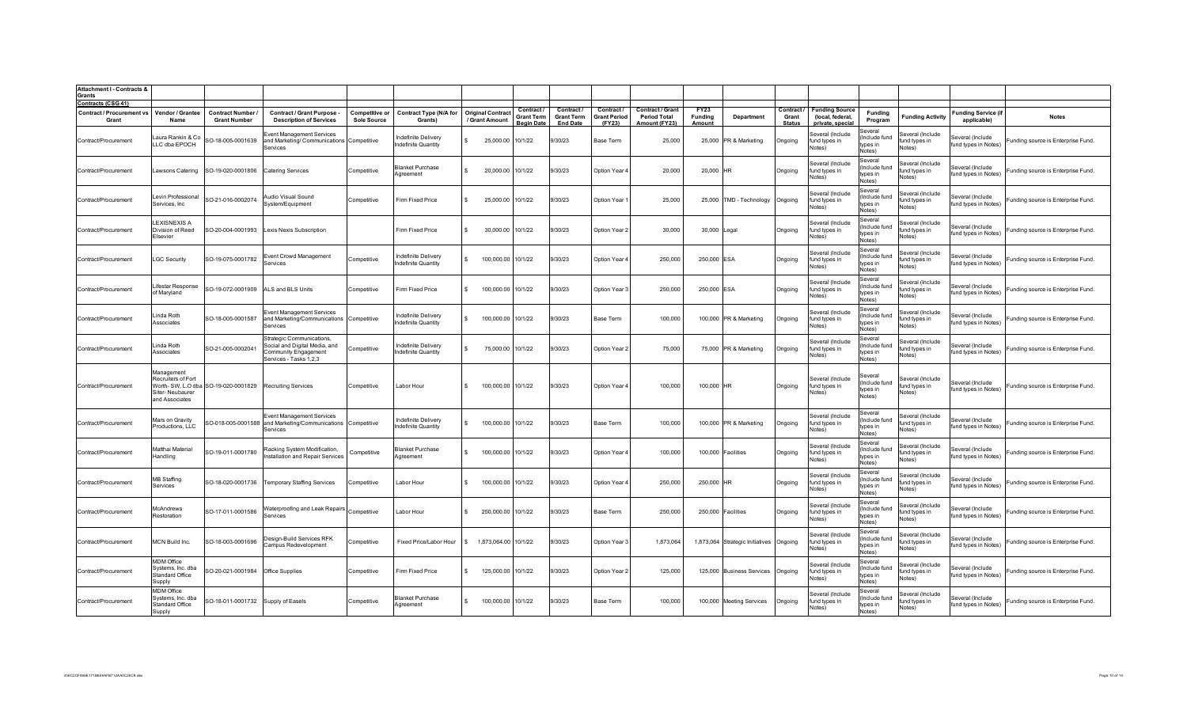| <b>Attachment I - Contracts &amp;</b><br>Grants                         |                                                                       |                                      |                                                                                                              |                    |                                           |                          |              |                                        |                                      |                               |                                      |                          |                                         |                        |                                             |                                                |                                             |                                          |                                    |
|-------------------------------------------------------------------------|-----------------------------------------------------------------------|--------------------------------------|--------------------------------------------------------------------------------------------------------------|--------------------|-------------------------------------------|--------------------------|--------------|----------------------------------------|--------------------------------------|-------------------------------|--------------------------------------|--------------------------|-----------------------------------------|------------------------|---------------------------------------------|------------------------------------------------|---------------------------------------------|------------------------------------------|------------------------------------|
| <b>Contracts (CSG 41)</b><br>Contract / Procurement vs Vendor / Grantee |                                                                       | <b>Contract Number</b>               | Contract / Grant Purpose                                                                                     | Competitive or     | <b>Contract Type (N/A for</b>             | <b>Original Contract</b> |              | Contract /                             | Contract /                           | Contract /                    | <b>Contract / Grant</b>              | <b>FY23</b>              |                                         |                        | Contract / Funding Source                   | <b>Funding</b>                                 |                                             | <b>Funding Service (if</b>               |                                    |
| Grant                                                                   | Name                                                                  | <b>Grant Number</b>                  | <b>Description of Services</b>                                                                               | <b>Sole Source</b> | Grants)                                   | / Grant Amount           |              | <b>Grant Term</b><br><b>Beain Date</b> | <b>Grant Term</b><br><b>End Date</b> | <b>Grant Period</b><br>(FY23) | <b>Period Total</b><br>Amount (FY23) | <b>Funding</b><br>Amount | Department                              | Grant<br><b>Status</b> | (local, federal,<br>private, special        | Program                                        | <b>Funding Activity</b>                     | applicable)                              | <b>Notes</b>                       |
| Contract/Procurement                                                    | aura Rankin & Co<br>LLC dba EPOCH                                     | SO-18-005-0001639                    | Event Management Services<br>and Marketing/ Communications Competitive<br>Services                           |                    | Indefinite Delivery<br>ndefinite Quantity | $\mathbf{s}$             | 25,000.00    | 10/1/22                                | 9/30/23                              | Base Term                     | 25,000                               |                          | 25,000 PR & Marketing                   | Ongoing                | Several (Include<br>fund types in<br>Notes) | Several<br>(Include fund<br>types in<br>Notes) | Several (Include<br>fund types in<br>Notes) | Several (Include<br>fund types in Notes) | Funding source is Enterprise Fund. |
| Contract/Procurement                                                    | Lawsons Catering                                                      | SO-19-020-0001806                    | <b>Catering Services</b>                                                                                     | Competitive        | <b>Blanket Purchase</b><br>Aareement      | $\hat{\mathbf{r}}$       | 20,000.00    | 10/1/22                                | 9/30/23                              | Option Year 4                 | 20,000                               | 20,000 HR                |                                         | Ongoing                | Several (Include<br>fund types in<br>Notes) | Several<br>Include fund<br>types in<br>Notes)  | Several (Include<br>fund types in<br>Votes) | everal (Include<br>fund types in Notes)  | Funding source is Enterprise Fund. |
| Contract/Procurement                                                    | evin Professional<br>Services, Inc                                    | SO-21-016-0002074                    | Audio Visual Sound<br>System/Equipment                                                                       | Competitive        | Firm Fixed Price                          |                          | 25,000.00    | 10/1/22                                | 9/30/23                              | Option Year                   | 25,000                               |                          | 25,000 TMD - Technology                 | Ongoing                | Several (Include<br>fund types in<br>Votes) | Several<br>Include fund<br>types in<br>Notes)  | Several (Include<br>und types in<br>Votes)  | everal (Include<br>fund types in Notes)  | unding source is Enterprise Fund.  |
| Contract/Procurement                                                    | <b>EXISNEXIS A</b><br>Division of Reed<br>Elsevier                    | SO-20-004-0001993                    | Lexis Nexis Subscription                                                                                     |                    | Firm Fixed Price                          | -S                       | 30,000.00    | 10/1/22                                | 9/30/23                              | Option Year 2                 | 30,000                               | 30,000 Legal             |                                         | Ongoing                | Several (Include<br>fund types in<br>Notes) | Several<br>(Include fund<br>types in<br>Notes) | Several (Include<br>fund types in<br>Notes) | Several (Include<br>fund types in Notes) | Funding source is Enterprise Fund. |
| Contract/Procurement                                                    | <b>LGC Security</b>                                                   | SO-19-075-0001782                    | Event Crowd Management<br>Services                                                                           | Competitive        | ndefinite Delivery<br>ndefinite Quantity  |                          | 100,000.00   | 10/1/22                                | 9/30/23                              | Option Year 4                 | 250,000                              | 250,000 ESA              |                                         | Ongoing                | Several (Include<br>fund types in<br>Notes) | Several<br>Include fund<br>types in<br>Notes)  | Several (Include<br>fund types in<br>Notes) | Several (Include<br>fund types in Notes) | Funding source is Enterprise Fund  |
| Contract/Procurement                                                    | ifestar Response<br>of Maryland                                       | SO-19-072-0001909                    | ALS and BLS Units                                                                                            | Competitive        | Firm Fixed Price                          | $\mathbf{S}$             | 100,000.00   | 10/1/22                                | 9/30/23                              | Option Year 3                 | 250,000                              | 250,000 ESA              |                                         | Ongoing                | Several (Include<br>und types in<br>Votes)  | Several<br>(Include fund<br>types in<br>Notes) | Several (Include<br>und types in<br>Votes)  | Several (Include<br>fund types in Notes) | Funding source is Enterprise Fund. |
| Contract/Procurement                                                    | inda Roth<br>Associates                                               | SO-18-005-0001587                    | <b>Event Management Services</b><br>and Marketing/Communications Competitive<br>Services                     |                    | ndefinite Deliverv<br>ndefinite Quantity  | $\mathbf{s}$             | 100,000.00   | 10/1/22                                | 9/30/23                              | Base Term                     | 100,000                              |                          | 100,000 PR & Marketing                  | Ongoing                | Several (Include<br>fund types in<br>Notes) | Several<br>(Include fund<br>types in<br>Notes) | Several (Include<br>fund types in<br>Notes) | Several (Include<br>fund types in Notes) | Funding source is Enterprise Fund. |
| Contract/Procurement                                                    | inda Roth<br>Associates                                               | SO-21-005-0002041                    | Strategic Communications,<br>Social and Digital Media, and<br>Community Engagement<br>Services - Tasks 1,2,3 | Competitive        | ndefinite Delivery<br>ndefinite Quantity  | $\mathbf{f}$             | 75,000.00    | 10/1/22                                | 9/30/23                              | Option Year 2                 | 75,000                               |                          | 75,000 PR & Marketing                   | Ongoing                | Several (Include<br>fund types in<br>Notes) | Several<br>Include fund<br>types in<br>Notes)  | everal (Include<br>fund types in<br>Notes)  | everal (Include<br>fund types in Notes)  | Funding source is Enterprise Fund. |
| Contract/Procurement                                                    | Management<br>Recruiters of Fort<br>Siter-Neubaurer<br>and Associates | Worth- SW, L.O dba SO-19-020-0001829 | <b>Recruiting Services</b>                                                                                   | Competitive        | Labor Hour                                | $\mathbf{S}$             | 100,000.00   | 10/1/22                                | 9/30/23                              | Option Year 4                 | 100,000                              | 100,000 HR               |                                         | Ongoing                | Several (Include<br>fund types in<br>Notes) | Several<br>(Include fund<br>tvpes in<br>Notes) | Several (Include<br>fund types in<br>Votes) | Several (Include<br>fund types in Notes) | Funding source is Enterprise Fund. |
| Contract/Procurement                                                    | Mars on Gravitv<br>Productions, LLC                                   | GO-018-005-0001588                   | <b>Event Management Services</b><br>and Marketing/Communications Competitive<br>Services                     |                    | ndefinite Delivery<br>Indefinite Quantity | $\mathbf{S}$             | 100,000.00   | 10/1/22                                | 9/30/23                              | Base Term                     | 100.000                              |                          | 100,000 PR & Marketing                  | Ongoing                | Several (Include<br>fund types in<br>Notes) | Severa<br>(Include fund<br>types in<br>Notes)  | Several (Include<br>fund types in<br>Votes) | Several (Include<br>fund types in Notes) | Funding source is Enterprise Fund. |
| Contract/Procurement                                                    | Matthai Material<br>Handling                                          | SO-19-011-0001780                    | Racking System Modification,<br>nstallation and Repair Services                                              | Competitive        | <b>Blanket Purchase</b><br>Agreement      |                          | 100,000.00   | 10/1/22                                | 9/30/23                              | Option Year 4                 | 100,000                              |                          | 100,000 Facilities                      | Ongoing                | Several (Include<br>fund types in<br>Votes) | Several<br>Include fund<br>types in<br>Notes)  | Several (Include<br>und types in<br>Notes)  | Several (Include<br>fund types in Notes) | Funding source is Enterprise Fund. |
| Contract/Procurement                                                    | MB Staffing<br>Services                                               | SO-18-020-0001736                    | <b>Temporary Staffing Services</b>                                                                           | Competitive        | Labor Hour                                |                          | 100,000.00   | 10/1/22                                | 9/30/23                              | Option Year 4                 | 250,000                              | 250,000 HR               |                                         | Ongoing                | Several (Include<br>fund types in<br>Notes) | Several<br>Include fund<br>types in<br>Notes)  | Several (Include<br>fund types in<br>Votes) | Several (Include<br>fund types in Notes) | Funding source is Enterprise Fund  |
| Contract/Procurement                                                    | McAndrews<br>Restoration                                              | SO-17-011-0001586                    | Waterproofing and Leak Repairs<br>Services                                                                   | Competitive        | Labor Hour                                |                          | 250,000.00   | 10/1/22                                | 9/30/23                              | Base Term                     | 250,000                              |                          | 250,000 Facilities                      | Ongoing                | Several (Include<br>fund types in<br>Notes) | Several<br>Include fund<br>types in<br>Notes)  | Several (Include<br>fund types in<br>Notes) | Several (Include<br>fund types in Notes) | Funding source is Enterprise Fund. |
| Contract/Procurement                                                    | MCN Build Inc.                                                        | SO-18-003-0001696                    | Design-Build Services RFK<br>Campus Redevelopment                                                            | Competitive        | Fixed Price/Labor Hour                    |                          | 1,873,064.00 | 10/1/22                                | 9/30/23                              | Option Year 3                 | 1,873,064                            |                          | 1,873,064 Strategic Initiatives Ongoing |                        | Several (Include<br>fund types in<br>Notes) | Several<br>Include fund<br>types in<br>Notes)  | Several (Include<br>fund types in<br>Notes) | everal (Include<br>fund types in Notes)  | unding source is Enterprise Fund.  |
| Contract/Procurement                                                    | MDM Office<br>Systems, Inc. dba<br>Standard Office<br>Supply          | SO-20-021-0001984                    | <b>Office Supplies</b>                                                                                       | Competitive        | Firm Fixed Price                          | $\mathbf{S}$             | 125,000.00   | 10/1/22                                | 9/30/23                              | Option Year 2                 | 125,000                              |                          | 125,000 Business Services               | Ongoing                | Several (Include<br>fund types in<br>Notes) | Several<br>Include fund<br>types in<br>Notes)  | everal (Include<br>fund types in<br>Notes)  | Several (Include<br>fund types in Notes) | Funding source is Enterprise Fund. |
| Contract/Procurement                                                    | <b>MDM Office</b><br>Systems, Inc. dba<br>Standard Office<br>Supply   | SO-18-011-0001732 Supply of Easels   |                                                                                                              | Competitive        | <b>Blanket Purchase</b><br>Aareement      | $\mathbf{S}$             | 100,000.00   | 10/1/22                                | 9/30/23                              | Base Term                     | 100,000                              |                          | 100,000 Meeting Services                | Ongoing                | Several (Include<br>fund types in<br>Notes) | Several<br>(Include fund<br>tvpes in<br>Notes) | ieveral (Include<br>fund types in<br>Notes) | Several (Include<br>fund types in Notes) | Funding source is Enterprise Fund. |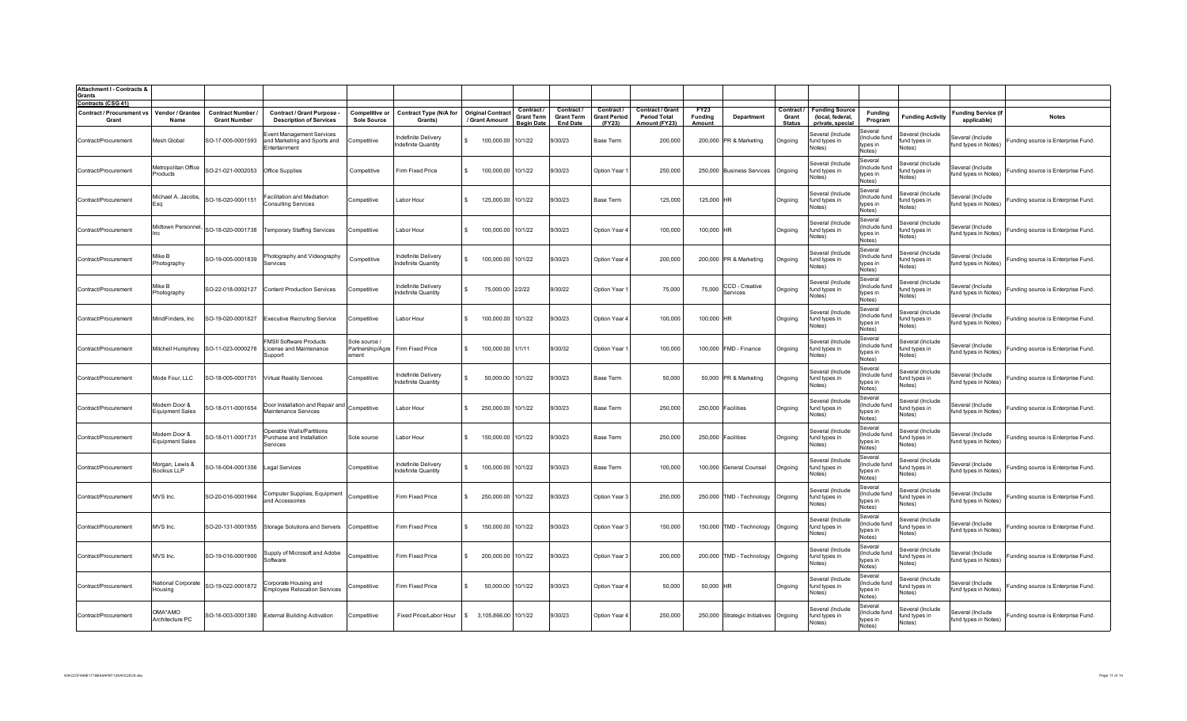| <b>Attachment I - Contracts &amp;</b><br><b>Grants</b>                 |                                         |                                               |                                                                            |                                            |                                                   |                                            |                                                    |                                                  |                                             |                                                                 |                           |                                       |                                      |                                                               |                                                |                                             |                                           |                                    |
|------------------------------------------------------------------------|-----------------------------------------|-----------------------------------------------|----------------------------------------------------------------------------|--------------------------------------------|---------------------------------------------------|--------------------------------------------|----------------------------------------------------|--------------------------------------------------|---------------------------------------------|-----------------------------------------------------------------|---------------------------|---------------------------------------|--------------------------------------|---------------------------------------------------------------|------------------------------------------------|---------------------------------------------|-------------------------------------------|------------------------------------|
| <b>Contracts (CSG 41)</b><br><b>Contract / Procurement vs</b><br>Grant | Vendor / Grantee<br>Name                | <b>Contract Number</b><br><b>Grant Number</b> | Contract / Grant Purpose -<br><b>Description of Services</b>               | Competitive or<br><b>Sole Source</b>       | <b>Contract Type (N/A for</b><br>Grants)          | <b>Original Contract</b><br>/ Grant Amount | Contract<br><b>Grant Term</b><br><b>Beain Date</b> | Contract<br><b>Grant Term</b><br><b>End Date</b> | Contract /<br><b>Grant Period</b><br>(FY23) | <b>Contract / Grant</b><br><b>Period Total</b><br>Amount (FY23) | FY23<br>Funding<br>Amount | <b>Department</b>                     | Contract /<br>Grant<br><b>Status</b> | <b>Funding Source</b><br>(local, federal,<br>private, special | Fundina<br>Program                             | <b>Funding Activity</b>                     | <b>Funding Service (if</b><br>applicable) | <b>Notes</b>                       |
| Contract/Procurement                                                   | Mesh Global                             | SO-17-005-0001593                             | Event Management Services<br>and Marketing and Sports and<br>Entertainment | Competitive                                | Indefinite Delivery<br>ndefinite Quantity         | 100,000.00 10/1/22                         |                                                    | 9/30/23                                          | Base Term                                   | 200,000                                                         |                           | 200,000 PR & Marketing                | Ongoing                              | Several (Include<br>und types in<br>Notes)                    | Several<br>(Include fund<br>tvpes in<br>Notes) | Several (Include<br>fund types in<br>Notes) | Several (Include<br>fund types in Notes)  | Funding source is Enterprise Fund. |
| Contract/Procurement                                                   | Metropolitan Office<br>Products         | SO-21-021-0002053                             | Office Supplies                                                            | Competitive                                | Firm Fixed Price                                  | 100,000.00 10/1/22<br>$\mathbf{S}$         |                                                    | 9/30/23                                          | Option Year '                               | 250,000                                                         |                           | 250,000 Business Services             | Ongoing                              | Several (Include<br>fund types in<br>Votes)                   | Several<br>(Include fund<br>tvnes in<br>Notes) | Several (Include<br>fund types in<br>Notes) | Several (Include<br>fund types in Notes)  | Funding source is Enterprise Fund. |
| Contract/Procurement                                                   | Michael A. Jacobs,<br>Eso               | SO-16-020-0001151                             | Facilitation and Mediation<br><b>Consulting Services</b>                   | Competitive                                | Labor Hour                                        | 125,000.00 10/1/22                         |                                                    | 9/30/23                                          | Base Term                                   | 125,000                                                         | 125,000 HR                |                                       | Ongoing                              | Several (Include<br>fund types in<br>Notes)                   | Several<br>(Include fund<br>types in<br>Notes) | Several (Include<br>fund types in<br>Notes) | Several (Include<br>fund types in Notes)  | Funding source is Enterprise Fund. |
| Contract/Procurement                                                   | didtown Personnel,                      | SO-18-020-0001738                             | <b>Temporary Staffing Services</b>                                         | Competitive                                | Labor Hour                                        | 100,000.00                                 | 10/1/22                                            | 9/30/23                                          | Option Year                                 | 100,000                                                         | 100,000 HR                |                                       | Ongoing                              | Several (Include<br>fund types in<br>Notes)                   | Several<br>(Include fund<br>types in<br>Notes) | Several (Include<br>fund types in<br>Notes) | Several (Include<br>fund types in Notes)  | Funding source is Enterprise Fund. |
| Contract/Procurement                                                   | Mike B<br>Photography                   | SO-19-005-0001839                             | Photography and Videograph <sub>)</sub><br>Services                        | Competitive                                | Indefinite Delivery<br>ndefinite Quantity         | 100,000.00<br>-S                           | 10/1/22                                            | 9/30/23                                          | Option Year 4                               | 200,000                                                         |                           | 200,000 PR & Marketing                | Ongoing                              | Several (Include<br>fund types in<br>Notes)                   | Several<br>(Include fund<br>tvpes in<br>Notes) | Several (Include<br>fund types in<br>Notes) | Several (Include<br>fund types in Notes)  | Funding source is Enterprise Fund. |
| Contract/Procurement                                                   | Mike B<br>Photography                   |                                               | SO-22-018-0002127 Content Production Services                              | Competitive                                | Indefinite Delivery<br><b>Indefinite Quantity</b> | 75,000.00 2/2/22<br>$\mathbf{S}$           |                                                    | 9/30/22                                          | Option Year 1                               | 75,000                                                          | 75,000                    | CCD - Creative<br>Services            | Ongoing                              | Several (Include<br>fund types in<br>Notes)                   | Several<br>(Include fund<br>tvpes in<br>Notes) | Several (Include<br>fund types in<br>Notes) | Several (Include<br>fund types in Notes)  | Funding source is Enterprise Fund. |
| Contract/Procurement                                                   | MindFinders, Inc                        |                                               | SO-19-020-0001827 Executive Recruiting Service                             | Competitive                                | Labor Hour                                        | 100,000.00                                 | 10/1/22                                            | 9/30/23                                          | Option Year 4                               | 100,000                                                         | 100,000 HR                |                                       | Ongoing                              | Several (Include<br>fund types in<br>Notes)                   | Several<br>Include fund<br>tvoes in<br>Notes)  | Several (Include<br>fund types in<br>Notes) | everal (Include<br>fund types in Notes)   | Funding source is Enterprise Fund. |
| Contract/Procurement                                                   | Mitchell Humphrey                       | SO-11-023-0000278                             | <b>FMSII Software Products</b><br>License and Maintenance<br>Support       | Sole source /<br>Partnership/Agre<br>ement | Firm Fixed Price                                  | 100,000.00 1/1/11                          |                                                    | 9/30/32                                          | Option Year                                 | 100,000                                                         |                           | 100,000 FMD - Finance                 | Ongoing                              | Several (Include<br>fund types in<br>Notes)                   | Several<br>Include fund<br>tvpes in<br>Notes)  | Several (Include<br>fund types in<br>Notes) | everal (Include<br>fund types in Notes)   | Funding source is Enterprise Fund. |
| Contract/Procurement                                                   | Mode Four, LLC                          | SO-18-005-0001701                             | <b>Virtual Reality Services</b>                                            | Competitive                                | Indefinite Delivery<br>ndefinite Quantity         | 50,000.00                                  | 10/1/22                                            | 9/30/23                                          | Base Term                                   | 50,000                                                          |                           | 50,000 PR & Marketing                 | Ongoing                              | Several (Include<br>und types in<br>Notes)                    | Several<br>Include fund<br>types in<br>Notes)  | Several (Include<br>fund types in<br>Notes) | everal (Include<br>fund types in Notes)   | unding source is Enterprise Fund.  |
| Contract/Procurement                                                   | Modern Door &<br><b>Equipment Sales</b> | SO-18-011-0001654                             | Door Installation and Repair and Competitive<br>Maintenance Services       |                                            | Labor Hour                                        | 250,000.00 10/1/22                         |                                                    | 9/30/23                                          | Base Term                                   | 250,000                                                         |                           | 250,000 Facilities                    | Ongoing                              | Several (Include<br>fund types in<br>Notes)                   | Several<br>(Include fund<br>types in<br>Notes) | Several (Include<br>fund types in<br>Notes) | Several (Include<br>fund types in Notes)  | Funding source is Enterprise Fund. |
| Contract/Procurement                                                   | Modern Door &<br><b>Equipment Sales</b> | SO-18-011-0001731                             | Operable Walls/Partitions<br>Purchase and Installation<br><b>Services</b>  | Sole source                                | Labor Hour                                        | 150,000.00 10/1/22                         |                                                    | 9/30/23                                          | Base Term                                   | 250,000                                                         |                           | 250,000 Facilities                    | Ongoing                              | Several (Include<br>fund types in<br>Notes)                   | Several<br>(Include fund<br>tvnes in<br>Notes) | Several (Include<br>fund types in<br>Notes) | everal (Include<br>fund types in Notes)   | Funding source is Enterprise Fund. |
| Contract/Procurement                                                   | Morgan, Lewis &<br><b>Bockius LLP</b>   | SO-16-004-0001356                             | Legal Services                                                             | Competitive                                | Indefinite Delivery<br><b>Indefinite Quantity</b> | 100,000.00 10/1/22                         |                                                    | 9/30/23                                          | Base Term                                   | 100,000                                                         |                           | 100,000 General Counsel               | Ongoing                              | Several (Include<br>fund types in<br>Votes)                   | Several<br>(Include fund<br>tvpes in<br>Notes) | ieveral (Include<br>fund types in<br>Votes) | everal (Include<br>fund types in Notes)   | Funding source is Enterprise Fund. |
| Contract/Procurement                                                   | MVS Inc.                                | SO-20-016-0001964                             | Computer Supplies, Equipment<br>and Accessories                            | Competitive                                | Firm Fixed Price                                  | 250,000.00 10/1/22                         |                                                    | 9/30/23                                          | Option Year 3                               | 250,000                                                         |                           | 250,000 TMD - Technology              | Ongoing                              | Several (Include<br>fund types in<br>Notes)                   | Several<br>Include fund<br>types in<br>Notes)  | Several (Include<br>fund types in<br>Notes) | Several (Include<br>fund types in Notes)  | Funding source is Enterprise Fund. |
| Contract/Procurement                                                   | MVS Inc.                                | SO-20-131-0001955                             | Storage Solutions and Servers                                              | Competitive                                | Firm Fixed Price                                  | 150,000.00 10/1/22<br>-S                   |                                                    | 9/30/23                                          | Option Year 3                               | 150,000                                                         |                           | 150,000 TMD - Technology              | Ongoing                              | Several (Include<br>fund types in<br>Notes)                   | Several<br>(Include fund<br>types in<br>Notes) | Several (Include<br>fund types in<br>Notes) | Several (Include<br>fund types in Notes)  | Funding source is Enterprise Fund. |
| Contract/Procurement                                                   | MVS Inc.                                | SO-19-016-0001900                             | Supply of Microsoft and Adobe<br>Software                                  | Competitive                                | Firm Fixed Price                                  | 200,000.00 10/1/22<br>-S                   |                                                    | 9/30/23                                          | Option Year 3                               | 200,000                                                         |                           | 200,000 TMD - Technology              | Ongoing                              | Several (Include<br>fund types in<br>Notes)                   | Several<br>(Include fund<br>types in<br>Notes) | ieveral (Include<br>fund types in<br>Notes) | Several (Include<br>fund types in Notes)  | Funding source is Enterprise Fund. |
| Contract/Procurement                                                   | National Corporate<br>Housing           | SO-19-022-0001872                             | Corporate Housing and<br><b>Employee Relocation Services</b>               | Competitive                                | Firm Fixed Price                                  | 50,000.00 10/1/22<br>$\mathbf{S}$          |                                                    | 9/30/23                                          | Option Year 4                               | 50,000                                                          | 50,000 HR                 |                                       | Ongoing                              | Several (Include<br>fund types in<br>Notes)                   | Several<br>(Include fund<br>tvnes in<br>Notes) | everal (Include<br>fund types in<br>Notes)  | Several (Include<br>fund types in Notes)  | Funding source is Enterprise Fund. |
| Contract/Procurement                                                   | OMA*AMO<br>Architecture PC              |                                               | SO-16-003-0001380 External Building Activation                             | Competitive                                | Fixed Price/Labor Hour                            | \$ 3,105,866.00 10/1/22                    |                                                    | 9/30/23                                          | Option Year 4                               | 250,000                                                         |                           | 250,000 Strategic Initiatives Ongoing |                                      | Several (Include<br>fund types in<br>Notes)                   | Several<br>Include fund<br>types in<br>Notes)  | ieveral (Include<br>fund types in<br>Notes) | Several (Include<br>fund types in Notes)  | Funding source is Enterprise Fund. |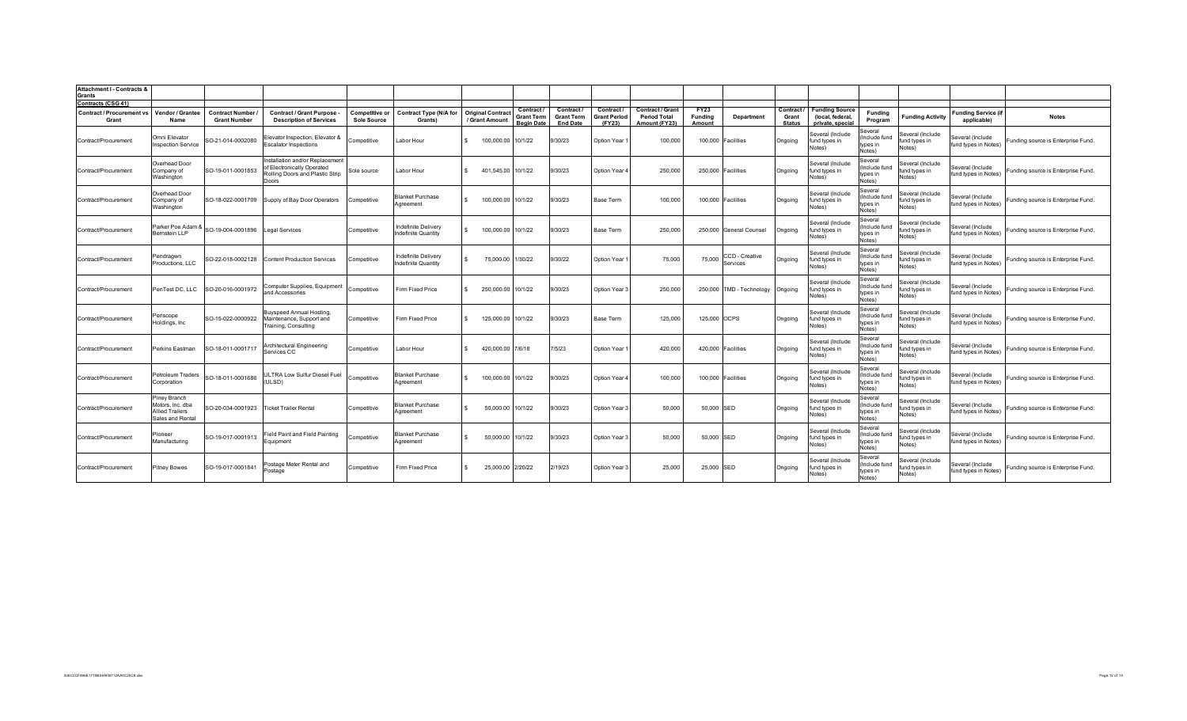| Attachment I - Contracts &<br>Grants      |                                                                                |                                               |                                                                                                           |                                      |                                                   |                                            |                                                           |                                                    |                                           |                                                          |                                  |                            |                                      |                                                               |                                                |                                             |                                           |                                    |
|-------------------------------------------|--------------------------------------------------------------------------------|-----------------------------------------------|-----------------------------------------------------------------------------------------------------------|--------------------------------------|---------------------------------------------------|--------------------------------------------|-----------------------------------------------------------|----------------------------------------------------|-------------------------------------------|----------------------------------------------------------|----------------------------------|----------------------------|--------------------------------------|---------------------------------------------------------------|------------------------------------------------|---------------------------------------------|-------------------------------------------|------------------------------------|
| Contracts (CSG 41)                        |                                                                                |                                               |                                                                                                           |                                      |                                                   |                                            |                                                           |                                                    |                                           |                                                          |                                  |                            |                                      |                                                               |                                                |                                             |                                           |                                    |
| <b>Contract / Procurement vs</b><br>Grant | Vendor / Grantee<br>Name                                                       | <b>Contract Number</b><br><b>Grant Number</b> | Contract / Grant Purpose<br><b>Description of Services</b>                                                | Competitive or<br><b>Sole Source</b> | <b>Contract Type (N/A for</b><br>Grants)          | <b>Original Contract</b><br>/ Grant Amount | <b>Contract</b><br><b>Grant Term</b><br><u>Beain Date</u> | Contract /<br><b>Grant Term</b><br><b>End Date</b> | Contract<br><b>Grant Period</b><br>(FY23) | Contract / Grant<br><b>Period Total</b><br>Amount (FY23) | <b>FY23</b><br>Funding<br>Amount | <b>Department</b>          | Contract /<br>Grant<br><b>Status</b> | <b>Funding Source</b><br>(local, federal,<br>private, special | Fundina<br>Program                             | <b>Funding Activity</b>                     | <b>Funding Service (if</b><br>applicable) | <b>Notes</b>                       |
| Contract/Procurement                      | Omni Elevator<br>nspection Service                                             | SO-21-014-0002080                             | Elevator Inspection, Elevator &<br><b>Escalator Inspections</b>                                           | Competitive                          | Labor Hour                                        | 100,000.00                                 | 10/1/22                                                   | 9/30/23                                            | Option Year                               | 100,000                                                  | 100,000                          | Facilities                 | Ongoing                              | Several (Include<br>fund types in<br>Notes)                   | Several<br>(Include fund<br>types in<br>Notes) | Several (Include<br>fund types in<br>Notes) | Several (Include<br>fund types in Notes)  | Funding source is Enterprise Fund. |
| Contract/Procurement                      | Overhead Door<br>Company of<br>Washington                                      | SO-19-011-0001853                             | Installation and/or Replacement<br>of Electronically Operated<br>Rolling Doors and Plastic Strip<br>Doors | Sole source                          | Labor Hour                                        | 401,545.00                                 | 10/1/22                                                   | 9/30/23                                            | Option Year                               | 250,000                                                  |                                  | 250,000 Facilities         | Ongoing                              | Several (Include<br>und types in<br>Notes)                    | Several<br>(Include fund<br>types in<br>Notes) | Several (Include<br>fund types in<br>Notes) | Several (Include<br>fund types in Notes)  | Funding source is Enterprise Fund. |
| Contract/Procurement                      | Overhead Door<br>Company of<br>Washington                                      | SO-18-022-0001709                             | Supply of Bay Door Operators                                                                              | Competitive                          | <b>Blanket Purchase</b><br>Agreement              | 100,000.00                                 | 10/1/22                                                   | 9/30/23                                            | <b>Base Term</b>                          | 100.000                                                  |                                  | 100,000 Facilities         | Ongoing                              | Several (Include<br>fund types in<br>Notes)                   | Several<br>(Include fund<br>types in<br>Notes) | Several (Include<br>fund types in<br>Notes) | Several (Include<br>fund types in Notes)  | Funding source is Enterprise Fund. |
| Contract/Procurement                      | Parker Poe Adam &<br>Bernstein LLP                                             | SO-19-004-0001896                             | Legal Services                                                                                            | Competitive                          | Indefinite Delivery<br>ndefinite Quantity         | 100,000.00 10/1/22                         |                                                           | 9/30/23                                            | Base Term                                 | 250,000                                                  |                                  | 250,000 General Counsel    | Ongoing                              | Several (Include<br>und types in<br>Notes)                    | Several<br>(Include fund<br>types in<br>Notes) | Several (Include<br>fund types in<br>Notes) | Several (Include<br>fund types in Notes)  | Funding source is Enterprise Fund. |
| Contract/Procurement                      | Pendragwn<br>Productions, LLC                                                  | SO-22-018-0002128                             | Content Production Services                                                                               | Competitive                          | Indefinite Delivery<br><b>Indefinite Quantity</b> | 75,000.00<br>$\mathbf{s}$                  | 1/30/22                                                   | 9/30/22                                            | Option Year                               | 75,000                                                   | 75,000                           | CCD - Creative<br>Services | Ongoing                              | Several (Include<br>fund types in<br>Notes)                   | Several<br>(Include fund<br>types in<br>Notes) | Several (Include<br>fund types in<br>Notes) | Several (Include<br>fund types in Notes)  | Funding source is Enterprise Fund. |
| Contract/Procurement                      | PenTest DC, LLC                                                                | SO-20-016-0001972                             | Computer Supplies, Equipment<br>and Accessories                                                           | Competitive                          | Firm Fixed Price                                  | 250,000.00 10/1/22                         |                                                           | 9/30/23                                            | Option Year 3                             | 250,000                                                  |                                  | 250,000 TMD - Technology   | Ongoing                              | Several (Include<br>und types in<br>Notes)                    | Several<br>(Include fund<br>types in<br>Notes) | Several (Include<br>fund types in<br>Notes) | Several (Include<br>fund types in Notes)  | Funding source is Enterprise Fund. |
| Contract/Procurement                      | Periscope<br>Holdings, Inc.                                                    | SO-15-022-0000922                             | Buyspeed Annual Hosting,<br>Maintenance, Support and<br>Training, Consulting                              | Competitive                          | Firm Fixed Price                                  | 125,000.00 10/1/22                         |                                                           | 9/30/23                                            | Base Term                                 | 125.000                                                  | 125,000 OCPS                     |                            | Ongoing                              | Several (Include<br>fund types in<br>Notes)                   | Several<br>(Include fund<br>types in<br>Notes) | Several (Include<br>fund types in<br>Notes) | Several (Include<br>fund types in Notes)  | Funding source is Enterprise Fund. |
| Contract/Procurement                      | Perkins Eastman                                                                | SO-18-011-0001717                             | Architectural Engineering<br>Services CC                                                                  | Competitive                          | Labor Hour                                        | 420,000.00 7/6/18                          |                                                           | 7/5/23                                             | Option Year                               | 420,000                                                  |                                  | 420,000 Facilities         | Ongoing                              | Several (Include<br>fund types in<br>Notes)                   | Several<br>(Include fund<br>types in<br>Notes) | Several (Include<br>fund types in<br>Notes) | Several (Include<br>fund types in Notes)  | Funding source is Enterprise Fund. |
| Contract/Procurement                      | Petroleum Traders<br>Corporation                                               | SO-18-011-0001686                             | ULTRA Low Sulfur Diesel Fuel<br>(ULSD)                                                                    | Competitive                          | <b>Blanket Purchase</b><br>Agreement              | 100,000.00 10/1/22                         |                                                           | 9/30/23                                            | Option Year                               | 100,000                                                  |                                  | 100,000 Facilities         | Ongoing                              | Several (Include<br>fund types in<br>Notes)                   | Several<br>(Include fund<br>types in<br>Notes) | Several (Include<br>fund types in<br>Notes) | Several (Include<br>fund types in Notes)  | Funding source is Enterprise Fund. |
| Contract/Procurement                      | Piney Branch<br>Motors, Inc. dba<br><b>Allied Trailers</b><br>Sales and Rental | SO-20-034-0001923                             | <b>Ticket Trailer Rental</b>                                                                              | Competitive                          | <b>Blanket Purchase</b><br>Agreement              | 50,000.00<br>$\mathbf{S}$                  | 10/1/22                                                   | 9/30/23                                            | Option Year 3                             | 50,000                                                   | 50,000 SED                       |                            | Ongoing                              | Several (Include<br>fund types in<br>Notes)                   | Several<br>(Include fund<br>types in<br>Notes) | Several (Include<br>fund types in<br>Notes) | Several (Include<br>fund types in Notes)  | Funding source is Enterprise Fund. |
| Contract/Procurement                      | Pioneer<br>Manufacturing                                                       | SO-19-017-0001913                             | Field Paint and Field Painting<br>Equipment                                                               | Competitive                          | <b>Blanket Purchase</b><br>Agreement              | 50,000.00 10/1/22                          |                                                           | 9/30/23                                            | Option Year 3                             | 50,000                                                   | 50,000 SED                       |                            | Ongoing                              | Several (Include<br>und types in<br>Notes)                    | Several<br>(Include fund<br>types in<br>Notes) | Several (Include<br>fund types in<br>Notes) | Several (Include<br>fund types in Notes)  | Funding source is Enterprise Fund. |
| Contract/Procurement                      | <b>Pitney Bowes</b>                                                            | SO-19-017-0001841                             | Postage Meter Rental and<br>Postage                                                                       | Competitive                          | Firm Fixed Price                                  | 25,000.00 2/20/22                          |                                                           | 2/19/23                                            | Option Year 3                             | 25,000                                                   | 25,000 SED                       |                            | Ongoing                              | Several (Include<br>fund types in<br>Notes)                   | Several<br>(Include fund<br>types in<br>Notes) | Several (Include<br>fund types in<br>Notes) | Several (Include<br>fund types in Notes)  | Funding source is Enterprise Fund. |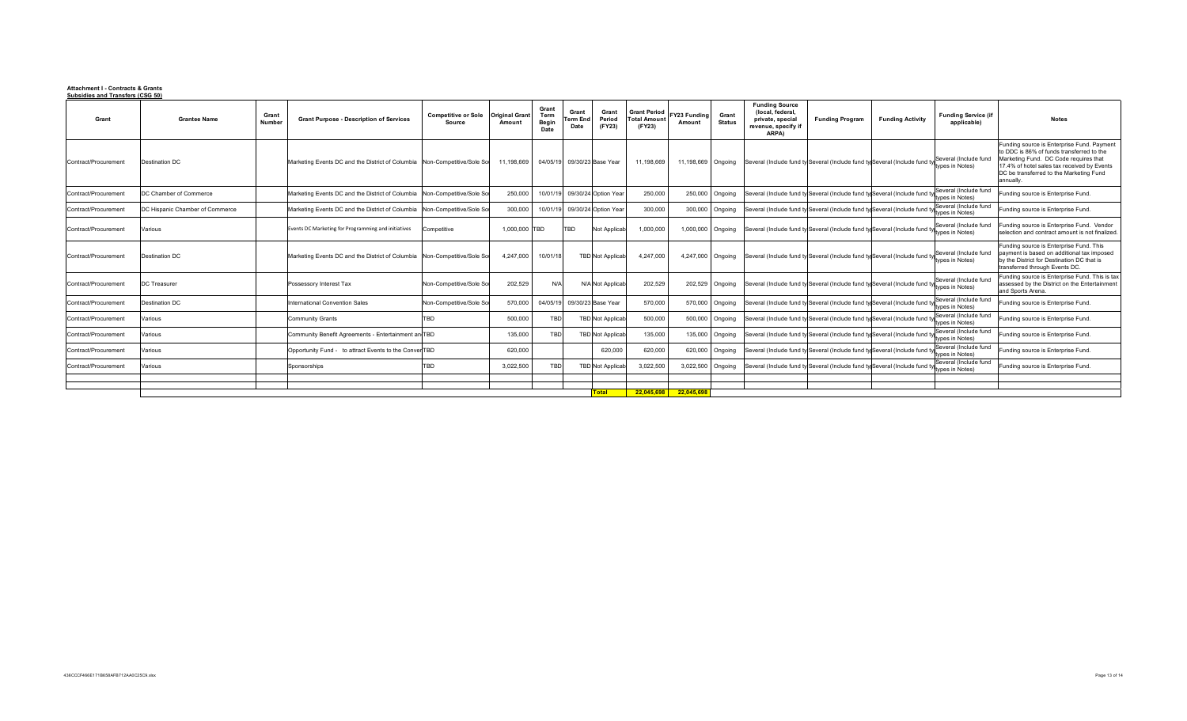## **Attachment I - Contracts & Grants Subsidies and Transfers (CSG 50)**

| Grant                | <b>Grantee Name</b>             | Grant<br>Number | <b>Grant Purpose - Description of Services</b>                            | <b>Competitive or Sole</b><br>Source | <b>Original Gran</b><br>Amount | Grant<br>Term<br>Begin<br>Date | Grant<br>erm En<br>Date     | Grant<br>Period<br>(FY23)     | <b>Grant Period</b><br><b>Total Amoun</b><br>(FY23) | Y23 Funding<br>Amount | Grant<br><b>Status</b> | <b>Funding Source</b><br>(local, federal,<br>private, special<br>revenue, specify if<br>ARPA) | <b>Funding Program</b>                                                    | <b>Funding Activity</b> | <b>Funding Service (if</b><br>applicable) | <b>Notes</b>                                                                                                                                                                                                                           |
|----------------------|---------------------------------|-----------------|---------------------------------------------------------------------------|--------------------------------------|--------------------------------|--------------------------------|-----------------------------|-------------------------------|-----------------------------------------------------|-----------------------|------------------------|-----------------------------------------------------------------------------------------------|---------------------------------------------------------------------------|-------------------------|-------------------------------------------|----------------------------------------------------------------------------------------------------------------------------------------------------------------------------------------------------------------------------------------|
| Contract/Procurement | Destination DC                  |                 | Marketing Events DC and the District of Columbia Non-Competitive/Sole Sol |                                      | 11,198,669                     |                                | 04/05/19 09/30/23 Base Year |                               | 11,198,669                                          | 11,198,669            | Ongoing                |                                                                                               | Several (Include fund ty Several (Include fund ty Several (Include fund   |                         | Several (Include fund<br>types in Notes)  | Funding source is Enterprise Fund, Paymen<br>to DDC is 86% of funds transferred to the<br>Marketing Fund. DC Code requires that<br>17.4% of hotel sales tax received by Events<br>DC be transferred to the Marketing Fund<br>annually. |
| Contract/Procurement | DC Chamber of Commerce          |                 | Marketing Events DC and the District of Columbia                          | Non-Competitive/Sole Sol             | 250,000                        |                                |                             | 10/01/19 09/30/24 Option Year | 250,000                                             |                       | 250,000 Ongoing        |                                                                                               | Several (Include fund ty Several (Include fund ty Several (Include fund   |                         | Several (Include fund<br>types in Notes)  | Funding source is Enterprise Fund.                                                                                                                                                                                                     |
| Contract/Procurement | DC Hispanic Chamber of Commerce |                 | Marketing Events DC and the District of Columbia                          | Non-Competitive/Sole Sol             | 300.000                        | 10/01/19                       |                             | 09/30/24 Option Year          | 300,000                                             |                       | 300,000 Ongoing        |                                                                                               | Several (Include fund ty Several (Include fund ty Several (Include fund   |                         | Several (Include fund<br>types in Notes)  | Funding source is Enterprise Fund.                                                                                                                                                                                                     |
| Contract/Procurement | Various                         |                 | Events DC Marketing for Programming and initiatives                       | Competitive                          | 1.000.000 TBD                  |                                | TBD                         | Not Applicab                  | 1.000.000                                           | 1,000,000             | Ongoing                |                                                                                               | Several (Include fund ty Several (Include fund ty Several (Include fund   |                         | Several (Include fund<br>types in Notes)  | unding source is Enterprise Fund. Vendor<br>selection and contract amount is not finalized                                                                                                                                             |
| Contract/Procurement | Destination DC                  |                 | Marketing Events DC and the District of Columbia Non-Competitive/Sole Sol |                                      | 4,247,000                      | 10/01/18                       |                             | <b>TBD</b> Not Applicab       | 4.247.000                                           | 4,247,000             | Ongoing                |                                                                                               | Several (Include fund ty Several (Include fund ty Several (Include fund   |                         | Several (Include fund<br>types in Notes)  | Funding source is Enterprise Fund. This<br>payment is based on additional tax imposed<br>by the District for Destination DC that is<br>transferred through Events DC.                                                                  |
| Contract/Procurement | <b>DC</b> Treasurer             |                 | Possessory Interest Tax                                                   | Non-Competitive/Sole Sor             | 202,529                        | N/A                            |                             | N/A Not Applicab              | 202,529                                             | 202,529               | Ongoing                |                                                                                               | Several (Include fund ty Several (Include fund ty Several (Include fund t |                         | Several (Include fund<br>types in Notes)  | Funding source is Enterprise Fund. This is tax<br>assessed by the District on the Entertainment<br>and Sports Arena.                                                                                                                   |
| Contract/Procurement | <b>Destination DC</b>           |                 | International Convention Sales                                            | Non-Competitive/Sole So              | 570,000                        | 04/05/19                       |                             | 09/30/23 Base Year            | 570,000                                             |                       | 570,000 Ongoing        |                                                                                               | Several (Include fund ty Several (Include fund ty Several (Include fund   |                         | Several (Include fund<br>types in Notes)  | Funding source is Enterprise Fund.                                                                                                                                                                                                     |
| Contract/Procurement | Various                         |                 | <b>Community Grants</b>                                                   | <b>BD</b>                            | 500,000                        | TBD                            |                             | <b>TBD</b> Not Applicab       | 500,000                                             | 500,000               | Ongoing                |                                                                                               | Several (Include fund ty Several (Include fund ty Several (Include fund   |                         | Several (Include fund<br>types in Notes)  | unding source is Enterprise Fund.                                                                                                                                                                                                      |
| Contract/Procurement | Various                         |                 | Community Benefit Agreements - Entertainment an TBD                       |                                      | 135,000                        | TBD                            |                             | <b>TBD</b> Not Applicab       | 135,000                                             | 135,000               | Ongoing                |                                                                                               | Several (Include fund ty Several (Include fund ty Several (Include fund   |                         | Several (Include fund<br>types in Notes)  | Funding source is Enterprise Fund.                                                                                                                                                                                                     |
| Contract/Procurement | Various                         |                 | Opportunity Fund - to attract Events to the ConverTBD                     |                                      | 620,000                        |                                |                             | 620,000                       | 620,000                                             |                       | 620,000 Ongoing        |                                                                                               | Several (Include fund ty Several (Include fund ty Several (Include fund   |                         | Several (Include fund<br>types in Notes)  | Funding source is Enterprise Fund.                                                                                                                                                                                                     |
| Contract/Procurement | Various                         |                 | Sponsorships                                                              | <b>BD</b>                            | 3,022,500                      | TBD                            |                             | <b>TBD</b> Not Applicab       | 3.022.500                                           | 3.022.500             | Ongoing                |                                                                                               | Several (Include fund ty Several (Include fund ty Several (Include fund   |                         | Several (Include fund<br>types in Notes)  | unding source is Enterprise Fund.                                                                                                                                                                                                      |
|                      |                                 |                 |                                                                           |                                      |                                |                                |                             |                               |                                                     |                       |                        |                                                                                               |                                                                           |                         |                                           |                                                                                                                                                                                                                                        |
|                      |                                 |                 |                                                                           |                                      |                                |                                |                             |                               |                                                     |                       |                        |                                                                                               |                                                                           |                         |                                           |                                                                                                                                                                                                                                        |
|                      |                                 |                 |                                                                           |                                      |                                |                                |                             | <b>Total</b>                  |                                                     | 22.045.698 22.045.698 |                        |                                                                                               |                                                                           |                         |                                           |                                                                                                                                                                                                                                        |